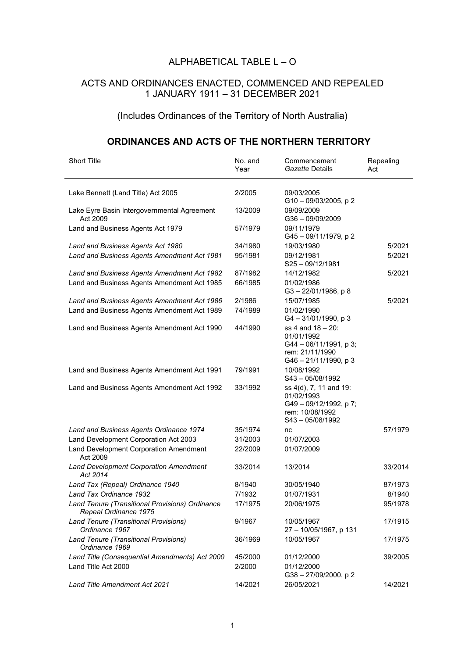## ALPHABETICAL TABLE  $L - O$

## ACTS AND ORDINANCES ENACTED, COMMENCED AND REPEALED 1 JANUARY 1911 – 31 DECEMBER 2021

## (Includes Ordinances of the Territory of North Australia)

## **ORDINANCES AND ACTS OF THE NORTHERN TERRITORY**

| <b>Short Title</b>                                                       | No. and<br>Year | Commencement<br>Gazette Details                                                                         | Repealing<br>Act |
|--------------------------------------------------------------------------|-----------------|---------------------------------------------------------------------------------------------------------|------------------|
| Lake Bennett (Land Title) Act 2005                                       | 2/2005          | 09/03/2005                                                                                              |                  |
| Lake Eyre Basin Intergovernmental Agreement<br>Act 2009                  | 13/2009         | G10-09/03/2005, p2<br>09/09/2009<br>G36-09/09/2009                                                      |                  |
| Land and Business Agents Act 1979                                        | 57/1979         | 09/11/1979<br>G45-09/11/1979, p2                                                                        |                  |
| Land and Business Agents Act 1980                                        | 34/1980         | 19/03/1980                                                                                              | 5/2021           |
| Land and Business Agents Amendment Act 1981                              | 95/1981         | 09/12/1981<br>$S25 - 09/12/1981$                                                                        | 5/2021           |
| Land and Business Agents Amendment Act 1982                              | 87/1982         | 14/12/1982                                                                                              | 5/2021           |
| Land and Business Agents Amendment Act 1985                              | 66/1985         | 01/02/1986<br>G3-22/01/1986, p8                                                                         |                  |
| Land and Business Agents Amendment Act 1986                              | 2/1986          | 15/07/1985                                                                                              | 5/2021           |
| Land and Business Agents Amendment Act 1989                              | 74/1989         | 01/02/1990<br>G4-31/01/1990, p3                                                                         |                  |
| Land and Business Agents Amendment Act 1990                              | 44/1990         | $ss$ 4 and 18 – 20:<br>01/01/1992<br>G44 - 06/11/1991, p 3;<br>rem: 21/11/1990<br>G46 - 21/11/1990, p 3 |                  |
| Land and Business Agents Amendment Act 1991                              | 79/1991         | 10/08/1992<br>S43-05/08/1992                                                                            |                  |
| Land and Business Agents Amendment Act 1992                              | 33/1992         | ss 4(d), 7, 11 and 19:<br>01/02/1993<br>G49-09/12/1992, p7;<br>rem: 10/08/1992<br>S43-05/08/1992        |                  |
| Land and Business Agents Ordinance 1974                                  | 35/1974         | nc                                                                                                      | 57/1979          |
| Land Development Corporation Act 2003                                    | 31/2003         | 01/07/2003                                                                                              |                  |
| Land Development Corporation Amendment<br>Act 2009                       | 22/2009         | 01/07/2009                                                                                              |                  |
| <b>Land Development Corporation Amendment</b><br>Act 2014                | 33/2014         | 13/2014                                                                                                 | 33/2014          |
| Land Tax (Repeal) Ordinance 1940                                         | 8/1940          | 30/05/1940                                                                                              | 87/1973          |
| Land Tax Ordinance 1932                                                  | 7/1932          | 01/07/1931                                                                                              | 8/1940           |
| Land Tenure (Transitional Provisions) Ordinance<br>Repeal Ordinance 1975 | 17/1975         | 20/06/1975                                                                                              | 95/1978          |
| <b>Land Tenure (Transitional Provisions)</b><br>Ordinance 1967           | 9/1967          | 10/05/1967<br>27 - 10/05/1967, p 131                                                                    | 17/1915          |
| Land Tenure (Transitional Provisions)<br>Ordinance 1969                  | 36/1969         | 10/05/1967                                                                                              | 17/1975          |
| Land Title (Consequential Amendments) Act 2000                           | 45/2000         | 01/12/2000                                                                                              | 39/2005          |
| Land Title Act 2000                                                      | 2/2000          | 01/12/2000<br>G38-27/09/2000, p2                                                                        |                  |
| Land Title Amendment Act 2021                                            | 14/2021         | 26/05/2021                                                                                              | 14/2021          |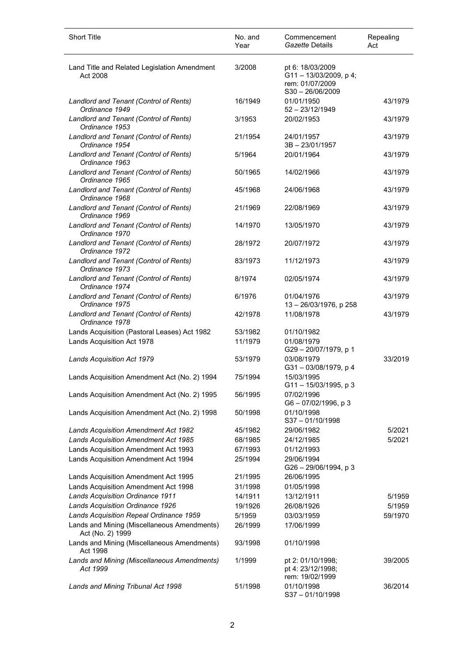| <b>Short Title</b>                                              | No. and<br>Year | Commencement<br>Gazette Details                                                  | Repealing<br>Act |
|-----------------------------------------------------------------|-----------------|----------------------------------------------------------------------------------|------------------|
| Land Title and Related Legislation Amendment<br>Act 2008        | 3/2008          | pt 6: 18/03/2009<br>G11-13/03/2009, p4;<br>rem: 01/07/2009<br>$S30 - 26/06/2009$ |                  |
| Landlord and Tenant (Control of Rents)<br>Ordinance 1949        | 16/1949         | 01/01/1950<br>$52 - 23/12/1949$                                                  | 43/1979          |
| Landlord and Tenant (Control of Rents)<br>Ordinance 1953        | 3/1953          | 20/02/1953                                                                       | 43/1979          |
| Landlord and Tenant (Control of Rents)<br>Ordinance 1954        | 21/1954         | 24/01/1957<br>3B-23/01/1957                                                      | 43/1979          |
| Landlord and Tenant (Control of Rents)<br>Ordinance 1963        | 5/1964          | 20/01/1964                                                                       | 43/1979          |
| Landlord and Tenant (Control of Rents)<br>Ordinance 1965        | 50/1965         | 14/02/1966                                                                       | 43/1979          |
| Landlord and Tenant (Control of Rents)<br>Ordinance 1968        | 45/1968         | 24/06/1968                                                                       | 43/1979          |
| Landlord and Tenant (Control of Rents)<br>Ordinance 1969        | 21/1969         | 22/08/1969                                                                       | 43/1979          |
| Landlord and Tenant (Control of Rents)<br>Ordinance 1970        | 14/1970         | 13/05/1970                                                                       | 43/1979          |
| Landlord and Tenant (Control of Rents)<br>Ordinance 1972        | 28/1972         | 20/07/1972                                                                       | 43/1979          |
| Landlord and Tenant (Control of Rents)<br>Ordinance 1973        | 83/1973         | 11/12/1973                                                                       | 43/1979          |
| Landlord and Tenant (Control of Rents)<br>Ordinance 1974        | 8/1974          | 02/05/1974                                                                       | 43/1979          |
| Landlord and Tenant (Control of Rents)<br>Ordinance 1975        | 6/1976          | 01/04/1976<br>13 - 26/03/1976, p 258                                             | 43/1979          |
| Landlord and Tenant (Control of Rents)<br>Ordinance 1978        | 42/1978         | 11/08/1978                                                                       | 43/1979          |
| Lands Acquisition (Pastoral Leases) Act 1982                    | 53/1982         | 01/10/1982                                                                       |                  |
| Lands Acquisition Act 1978                                      | 11/1979         | 01/08/1979<br>G29-20/07/1979, p 1                                                |                  |
| <b>Lands Acquisition Act 1979</b>                               | 53/1979         | 03/08/1979<br>G31-03/08/1979, p 4                                                | 33/2019          |
| Lands Acquisition Amendment Act (No. 2) 1994                    | 75/1994         | 15/03/1995<br>G11-15/03/1995, p 3                                                |                  |
| Lands Acquisition Amendment Act (No. 2) 1995                    | 56/1995         | 07/02/1996<br>$G6 - 07/02/1996$ , p 3                                            |                  |
| Lands Acquisition Amendment Act (No. 2) 1998                    | 50/1998         | 01/10/1998<br>$S37 - 01/10/1998$                                                 |                  |
| <b>Lands Acquisition Amendment Act 1982</b>                     | 45/1982         | 29/06/1982                                                                       | 5/2021           |
| <b>Lands Acquisition Amendment Act 1985</b>                     | 68/1985         | 24/12/1985                                                                       | 5/2021           |
| Lands Acquisition Amendment Act 1993                            | 67/1993         | 01/12/1993                                                                       |                  |
| Lands Acquisition Amendment Act 1994                            | 25/1994         | 29/06/1994<br>$G26 - 29/06/1994$ , p 3                                           |                  |
| Lands Acquisition Amendment Act 1995                            | 21/1995         | 26/06/1995                                                                       |                  |
| Lands Acquisition Amendment Act 1998                            | 31/1998         | 01/05/1998                                                                       |                  |
| Lands Acquisition Ordinance 1911                                | 14/1911         | 13/12/1911                                                                       | 5/1959           |
| Lands Acquisition Ordinance 1926                                | 19/1926         | 26/08/1926                                                                       | 5/1959           |
| Lands Acquisition Repeal Ordinance 1959                         | 5/1959          | 03/03/1959                                                                       | 59/1970          |
| Lands and Mining (Miscellaneous Amendments)<br>Act (No. 2) 1999 | 26/1999         | 17/06/1999                                                                       |                  |
| Lands and Mining (Miscellaneous Amendments)<br>Act 1998         | 93/1998         | 01/10/1998                                                                       |                  |
| Lands and Mining (Miscellaneous Amendments)<br>Act 1999         | 1/1999          | pt 2: 01/10/1998;<br>pt 4: 23/12/1998;<br>rem: 19/02/1999                        | 39/2005          |
| Lands and Mining Tribunal Act 1998                              | 51/1998         | 01/10/1998<br>S37-01/10/1998                                                     | 36/2014          |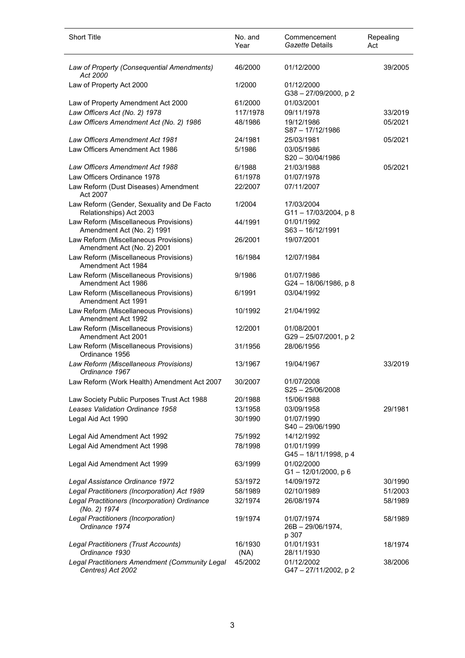| <b>Short Title</b>                                                    | No. and<br>Year | Commencement<br>Gazette Details          | Repealing<br>Act |
|-----------------------------------------------------------------------|-----------------|------------------------------------------|------------------|
| Law of Property (Consequential Amendments)<br>Act 2000                | 46/2000         | 01/12/2000                               | 39/2005          |
| Law of Property Act 2000                                              | 1/2000          | 01/12/2000<br>G38-27/09/2000, p2         |                  |
| Law of Property Amendment Act 2000                                    | 61/2000         | 01/03/2001                               |                  |
| Law Officers Act (No. 2) 1978                                         | 117/1978        | 09/11/1978                               | 33/2019          |
| Law Officers Amendment Act (No. 2) 1986                               | 48/1986         | 19/12/1986<br>S87-17/12/1986             | 05/2021          |
| <b>Law Officers Amendment Act 1981</b>                                | 24/1981         | 25/03/1981                               | 05/2021          |
| Law Officers Amendment Act 1986                                       | 5/1986          | 03/05/1986<br>$S20 - 30/04/1986$         |                  |
| Law Officers Amendment Act 1988                                       | 6/1988          | 21/03/1988                               | 05/2021          |
| Law Officers Ordinance 1978                                           | 61/1978         | 01/07/1978                               |                  |
| Law Reform (Dust Diseases) Amendment<br>Act 2007                      | 22/2007         | 07/11/2007                               |                  |
| Law Reform (Gender, Sexuality and De Facto<br>Relationships) Act 2003 | 1/2004          | 17/03/2004<br>G11-17/03/2004, p8         |                  |
| Law Reform (Miscellaneous Provisions)<br>Amendment Act (No. 2) 1991   | 44/1991         | 01/01/1992<br>$S63 - 16/12/1991$         |                  |
| Law Reform (Miscellaneous Provisions)<br>Amendment Act (No. 2) 2001   | 26/2001         | 19/07/2001                               |                  |
| Law Reform (Miscellaneous Provisions)<br>Amendment Act 1984           | 16/1984         | 12/07/1984                               |                  |
| Law Reform (Miscellaneous Provisions)<br>Amendment Act 1986           | 9/1986          | 01/07/1986<br>$G24 - 18/06/1986$ , p 8   |                  |
| Law Reform (Miscellaneous Provisions)<br>Amendment Act 1991           | 6/1991          | 03/04/1992                               |                  |
| Law Reform (Miscellaneous Provisions)<br>Amendment Act 1992           | 10/1992         | 21/04/1992                               |                  |
| Law Reform (Miscellaneous Provisions)<br>Amendment Act 2001           | 12/2001         | 01/08/2001<br>G29-25/07/2001, p2         |                  |
| Law Reform (Miscellaneous Provisions)<br>Ordinance 1956               | 31/1956         | 28/06/1956                               |                  |
| Law Reform (Miscellaneous Provisions)<br>Ordinance 1967               | 13/1967         | 19/04/1967                               | 33/2019          |
| Law Reform (Work Health) Amendment Act 2007                           | 30/2007         | 01/07/2008<br>$S25 - 25/06/2008$         |                  |
| Law Society Public Purposes Trust Act 1988                            | 20/1988         | 15/06/1988                               |                  |
| Leases Validation Ordinance 1958                                      | 13/1958         | 03/09/1958                               | 29/1981          |
| Legal Aid Act 1990                                                    | 30/1990         | 01/07/1990<br>S40 - 29/06/1990           |                  |
| Legal Aid Amendment Act 1992                                          | 75/1992         | 14/12/1992                               |                  |
| Legal Aid Amendment Act 1998                                          | 78/1998         | 01/01/1999<br>G45-18/11/1998, p 4        |                  |
| Legal Aid Amendment Act 1999                                          | 63/1999         | 01/02/2000<br>$G1 - 12/01/2000$ , p 6    |                  |
| Legal Assistance Ordinance 1972                                       | 53/1972         | 14/09/1972                               | 30/1990          |
| Legal Practitioners (Incorporation) Act 1989                          | 58/1989         | 02/10/1989                               | 51/2003          |
| Legal Practitioners (Incorporation) Ordinance<br>(No. 2) 1974         | 32/1974         | 26/08/1974                               | 58/1989          |
| Legal Practitioners (Incorporation)<br>Ordinance 1974                 | 19/1974         | 01/07/1974<br>26B - 29/06/1974,<br>p 307 | 58/1989          |
| Legal Practitioners (Trust Accounts)<br>Ordinance 1930                | 16/1930<br>(NA) | 01/01/1931<br>28/11/1930                 | 18/1974          |
| Legal Practitioners Amendment (Community Legal<br>Centres) Act 2002   | 45/2002         | 01/12/2002<br>G47-27/11/2002, p2         | 38/2006          |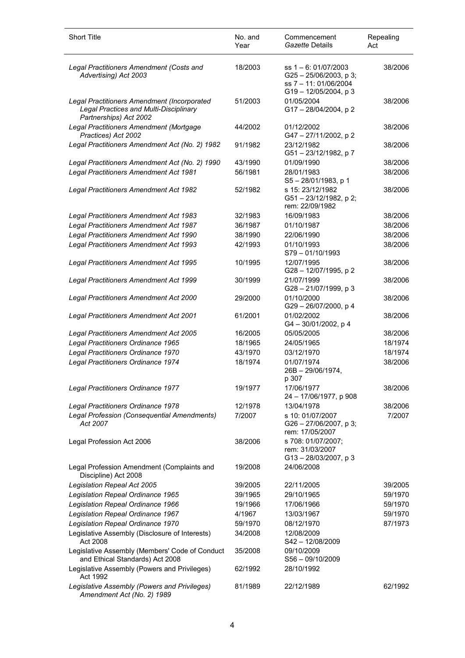| <b>Short Title</b>                                                                                              | No. and<br>Year | Commencement<br>Gazette Details                                                                           | Repealing<br>Act |
|-----------------------------------------------------------------------------------------------------------------|-----------------|-----------------------------------------------------------------------------------------------------------|------------------|
| Legal Practitioners Amendment (Costs and<br>Advertising) Act 2003                                               | 18/2003         | ss $1 - 6$ : 01/07/2003<br>$G25 - 25/06/2003$ , p 3;<br>ss 7 - 11: 01/06/2004<br>$G19 - 12/05/2004$ , p 3 | 38/2006          |
| Legal Practitioners Amendment (Incorporated<br>Legal Practices and Multi-Disciplinary<br>Partnerships) Act 2002 | 51/2003         | 01/05/2004<br>G17-28/04/2004, p2                                                                          | 38/2006          |
| Legal Practitioners Amendment (Mortgage<br>Practices) Act 2002                                                  | 44/2002         | 01/12/2002<br>G47-27/11/2002, p2                                                                          | 38/2006          |
| Legal Practitioners Amendment Act (No. 2) 1982                                                                  | 91/1982         | 23/12/1982<br>G51-23/12/1982, p7                                                                          | 38/2006          |
| Legal Practitioners Amendment Act (No. 2) 1990                                                                  | 43/1990         | 01/09/1990                                                                                                | 38/2006          |
| Legal Practitioners Amendment Act 1981                                                                          | 56/1981         | 28/01/1983<br>$S5 - 28/01/1983$ , p 1                                                                     | 38/2006          |
| Legal Practitioners Amendment Act 1982                                                                          | 52/1982         | s 15: 23/12/1982<br>G51-23/12/1982, p 2;<br>rem: 22/09/1982                                               | 38/2006          |
| Legal Practitioners Amendment Act 1983                                                                          | 32/1983         | 16/09/1983                                                                                                | 38/2006          |
| Legal Practitioners Amendment Act 1987                                                                          | 36/1987         | 01/10/1987                                                                                                | 38/2006          |
| Legal Practitioners Amendment Act 1990                                                                          | 38/1990         | 22/06/1990                                                                                                | 38/2006          |
| Legal Practitioners Amendment Act 1993                                                                          | 42/1993         | 01/10/1993<br>S79-01/10/1993                                                                              | 38/2006          |
| Legal Practitioners Amendment Act 1995                                                                          | 10/1995         | 12/07/1995<br>G28-12/07/1995, p 2                                                                         | 38/2006          |
| Legal Practitioners Amendment Act 1999                                                                          | 30/1999         | 21/07/1999<br>G28-21/07/1999, p 3                                                                         | 38/2006          |
| Legal Practitioners Amendment Act 2000                                                                          | 29/2000         | 01/10/2000<br>G29-26/07/2000, p 4                                                                         | 38/2006          |
| Legal Practitioners Amendment Act 2001                                                                          | 61/2001         | 01/02/2002<br>G4-30/01/2002, p4                                                                           | 38/2006          |
| Legal Practitioners Amendment Act 2005                                                                          | 16/2005         | 05/05/2005                                                                                                | 38/2006          |
| Legal Practitioners Ordinance 1965                                                                              | 18/1965         | 24/05/1965                                                                                                | 18/1974          |
| Legal Practitioners Ordinance 1970                                                                              | 43/1970         | 03/12/1970                                                                                                | 18/1974          |
| Legal Practitioners Ordinance 1974                                                                              | 18/1974         | 01/07/1974<br>26B - 29/06/1974,<br>p 307                                                                  | 38/2006          |
| Legal Practitioners Ordinance 1977                                                                              | 19/1977         | 17/06/1977<br>24 - 17/06/1977, p 908                                                                      | 38/2006          |
| Legal Practitioners Ordinance 1978                                                                              | 12/1978         | 13/04/1978                                                                                                | 38/2006          |
| Legal Profession (Consequential Amendments)<br>Act 2007                                                         | 7/2007          | s 10: 01/07/2007<br>G26 - 27/06/2007, p 3;<br>rem: 17/05/2007                                             | 7/2007           |
| Legal Profession Act 2006                                                                                       | 38/2006         | s 708: 01/07/2007;<br>rem: 31/03/2007<br>$G13 - 28/03/2007$ , p 3                                         |                  |
| Legal Profession Amendment (Complaints and<br>Discipline) Act 2008                                              | 19/2008         | 24/06/2008                                                                                                |                  |
| Legislation Repeal Act 2005                                                                                     | 39/2005         | 22/11/2005                                                                                                | 39/2005          |
| Legislation Repeal Ordinance 1965                                                                               | 39/1965         | 29/10/1965                                                                                                | 59/1970          |
| Legislation Repeal Ordinance 1966                                                                               | 19/1966         | 17/06/1966                                                                                                | 59/1970          |
| Legislation Repeal Ordinance 1967                                                                               | 4/1967          | 13/03/1967                                                                                                | 59/1970          |
| Legislation Repeal Ordinance 1970                                                                               | 59/1970         | 08/12/1970                                                                                                | 87/1973          |
| Legislative Assembly (Disclosure of Interests)<br>Act 2008                                                      | 34/2008         | 12/08/2009<br>S42-12/08/2009                                                                              |                  |
| Legislative Assembly (Members' Code of Conduct<br>and Ethical Standards) Act 2008                               | 35/2008         | 09/10/2009<br>S56 - 09/10/2009                                                                            |                  |
| Legislative Assembly (Powers and Privileges)<br>Act 1992                                                        | 62/1992         | 28/10/1992                                                                                                |                  |
| Legislative Assembly (Powers and Privileges)<br>Amendment Act (No. 2) 1989                                      | 81/1989         | 22/12/1989                                                                                                | 62/1992          |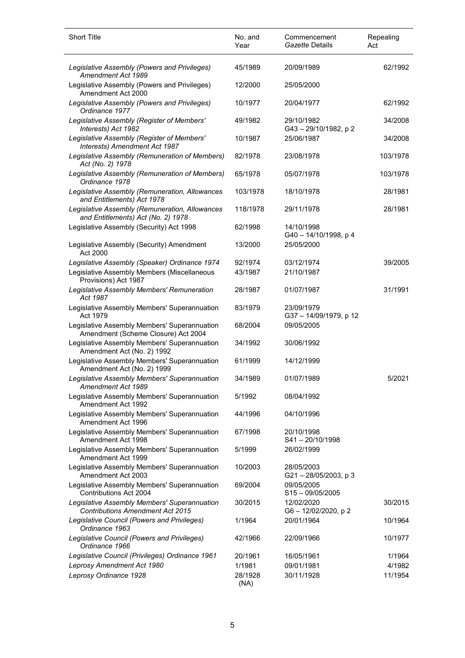| <b>Short Title</b>                                                                      | No. and<br>Year | Commencement<br>Gazette Details     | Repealing<br>Act |
|-----------------------------------------------------------------------------------------|-----------------|-------------------------------------|------------------|
| Legislative Assembly (Powers and Privileges)<br>Amendment Act 1989                      | 45/1989         | 20/09/1989                          | 62/1992          |
| Legislative Assembly (Powers and Privileges)<br>Amendment Act 2000                      | 12/2000         | 25/05/2000                          |                  |
| Legislative Assembly (Powers and Privileges)<br>Ordinance 1977                          | 10/1977         | 20/04/1977                          | 62/1992          |
| Legislative Assembly (Register of Members'<br>Interests) Act 1982                       | 49/1982         | 29/10/1982<br>G43-29/10/1982, p2    | 34/2008          |
| Legislative Assembly (Register of Members'<br>Interests) Amendment Act 1987             | 10/1987         | 25/06/1987                          | 34/2008          |
| Legislative Assembly (Remuneration of Members)<br>Act (No. 2) 1978                      | 82/1978         | 23/08/1978                          | 103/1978         |
| Legislative Assembly (Remuneration of Members)<br>Ordinance 1978                        | 65/1978         | 05/07/1978                          | 103/1978         |
| Legislative Assembly (Remuneration, Allowances<br>and Entitlements) Act 1978            | 103/1978        | 18/10/1978                          | 28/1981          |
| Legislative Assembly (Remuneration, Allowances<br>and Entitlements) Act (No. 2) 1978    | 118/1978        | 29/11/1978                          | 28/1981          |
| Legislative Assembly (Security) Act 1998                                                | 62/1998         | 14/10/1998<br>G40 - 14/10/1998, p 4 |                  |
| Legislative Assembly (Security) Amendment<br>Act 2000                                   | 13/2000         | 25/05/2000                          |                  |
| Legislative Assembly (Speaker) Ordinance 1974                                           | 92/1974         | 03/12/1974                          | 39/2005          |
| Legislative Assembly Members (Miscellaneous<br>Provisions) Act 1987                     | 43/1987         | 21/10/1987                          |                  |
| Legislative Assembly Members' Remuneration<br>Act 1987                                  | 28/1987         | 01/07/1987                          | 31/1991          |
| Legislative Assembly Members' Superannuation<br>Act 1979                                | 83/1979         | 23/09/1979<br>G37-14/09/1979, p 12  |                  |
| Legislative Assembly Members' Superannuation<br>Amendment (Scheme Closure) Act 2004     | 68/2004         | 09/05/2005                          |                  |
| Legislative Assembly Members' Superannuation<br>Amendment Act (No. 2) 1992              | 34/1992         | 30/06/1992                          |                  |
| Legislative Assembly Members' Superannuation<br>Amendment Act (No. 2) 1999              | 61/1999         | 14/12/1999                          |                  |
| Legislative Assembly Members' Superannuation<br>Amendment Act 1989                      | 34/1989         | 01/07/1989                          | 5/2021           |
| Legislative Assembly Members' Superannuation<br>Amendment Act 1992                      | 5/1992          | 08/04/1992                          |                  |
| Legislative Assembly Members' Superannuation<br>Amendment Act 1996                      | 44/1996         | 04/10/1996                          |                  |
| Legislative Assembly Members' Superannuation<br>Amendment Act 1998                      | 67/1998         | 20/10/1998<br>S41-20/10/1998        |                  |
| Legislative Assembly Members' Superannuation<br>Amendment Act 1999                      | 5/1999          | 26/02/1999                          |                  |
| Legislative Assembly Members' Superannuation<br>Amendment Act 2003                      | 10/2003         | 28/05/2003<br>G21-28/05/2003, p 3   |                  |
| Legislative Assembly Members' Superannuation<br>Contributions Act 2004                  | 69/2004         | 09/05/2005<br>$S15 - 09/05/2005$    |                  |
| Legislative Assembly Members' Superannuation<br><b>Contributions Amendment Act 2015</b> | 30/2015         | 12/02/2020<br>G6-12/02/2020, p2     | 30/2015          |
| Legislative Council (Powers and Privileges)<br>Ordinance 1963                           | 1/1964          | 20/01/1964                          | 10/1964          |
| Legislative Council (Powers and Privileges)<br>Ordinance 1966                           | 42/1966         | 22/09/1966                          | 10/1977          |
| Legislative Council (Privileges) Ordinance 1961                                         | 20/1961         | 16/05/1961                          | 1/1964           |
| Leprosy Amendment Act 1980                                                              | 1/1981          | 09/01/1981                          | 4/1982           |
| Leprosy Ordinance 1928                                                                  | 28/1928<br>(NA) | 30/11/1928                          | 11/1954          |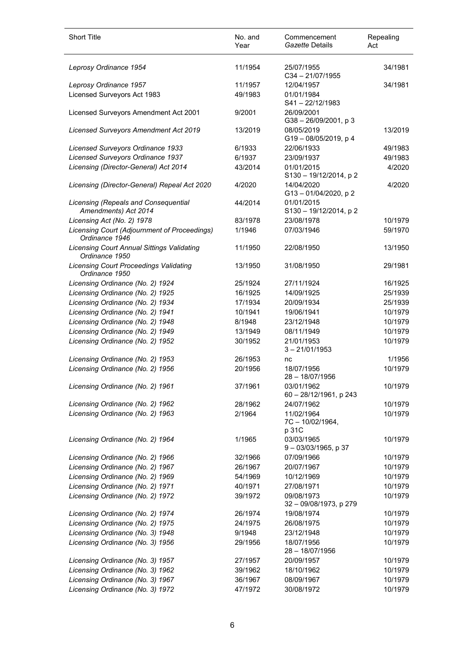| <b>Short Title</b>                                                  | No. and<br>Year | Commencement<br>Gazette Details         | Repealing<br>Act |
|---------------------------------------------------------------------|-----------------|-----------------------------------------|------------------|
| Leprosy Ordinance 1954                                              | 11/1954         | 25/07/1955<br>$C34 - 21/07/1955$        | 34/1981          |
| Leprosy Ordinance 1957                                              | 11/1957         | 12/04/1957                              | 34/1981          |
| Licensed Surveyors Act 1983                                         | 49/1983         | 01/01/1984<br>S41-22/12/1983            |                  |
| Licensed Surveyors Amendment Act 2001                               | 9/2001          | 26/09/2001<br>G38-26/09/2001, p3        |                  |
| <b>Licensed Surveyors Amendment Act 2019</b>                        | 13/2019         | 08/05/2019<br>G19-08/05/2019, p 4       | 13/2019          |
| Licensed Surveyors Ordinance 1933                                   | 6/1933          | 22/06/1933                              | 49/1983          |
| Licensed Surveyors Ordinance 1937                                   | 6/1937          | 23/09/1937                              | 49/1983          |
| Licensing (Director-General) Act 2014                               | 43/2014         | 01/01/2015<br>S130 - 19/12/2014, p 2    | 4/2020           |
| Licensing (Director-General) Repeal Act 2020                        | 4/2020          | 14/04/2020<br>G13-01/04/2020, p2        | 4/2020           |
| Licensing (Repeals and Consequential<br>Amendments) Act 2014        | 44/2014         | 01/01/2015<br>S130-19/12/2014, p2       |                  |
| Licensing Act (No. 2) 1978                                          | 83/1978         | 23/08/1978                              | 10/1979          |
| Licensing Court (Adjournment of Proceedings)<br>Ordinance 1946      | 1/1946          | 07/03/1946                              | 59/1970          |
| <b>Licensing Court Annual Sittings Validating</b><br>Ordinance 1950 | 11/1950         | 22/08/1950                              | 13/1950          |
| <b>Licensing Court Proceedings Validating</b><br>Ordinance 1950     | 13/1950         | 31/08/1950                              | 29/1981          |
| Licensing Ordinance (No. 2) 1924                                    | 25/1924         | 27/11/1924                              | 16/1925          |
| Licensing Ordinance (No. 2) 1925                                    | 16/1925         | 14/09/1925                              | 25/1939          |
| Licensing Ordinance (No. 2) 1934                                    | 17/1934         | 20/09/1934                              | 25/1939          |
| Licensing Ordinance (No. 2) 1941                                    | 10/1941         | 19/06/1941                              | 10/1979          |
| Licensing Ordinance (No. 2) 1948                                    | 8/1948          | 23/12/1948                              | 10/1979          |
| Licensing Ordinance (No. 2) 1949                                    | 13/1949         | 08/11/1949                              | 10/1979          |
| Licensing Ordinance (No. 2) 1952                                    | 30/1952         | 21/01/1953<br>$3 - 21/01/1953$          | 10/1979          |
| Licensing Ordinance (No. 2) 1953                                    | 26/1953         | nc                                      | 1/1956           |
| Licensing Ordinance (No. 2) 1956                                    | 20/1956         | 18/07/1956<br>$28 - 18/07/1956$         | 10/1979          |
| Licensing Ordinance (No. 2) 1961                                    | 37/1961         | 03/01/1962<br>60 - 28/12/1961, p 243    | 10/1979          |
| Licensing Ordinance (No. 2) 1962                                    | 28/1962         | 24/07/1962                              | 10/1979          |
| Licensing Ordinance (No. 2) 1963                                    | 2/1964          | 11/02/1964<br>7C - 10/02/1964,<br>p 31C | 10/1979          |
| Licensing Ordinance (No. 2) 1964                                    | 1/1965          | 03/03/1965<br>$9 - 03/03/1965$ , p 37   | 10/1979          |
| Licensing Ordinance (No. 2) 1966                                    | 32/1966         | 07/09/1966                              | 10/1979          |
| Licensing Ordinance (No. 2) 1967                                    | 26/1967         | 20/07/1967                              | 10/1979          |
| Licensing Ordinance (No. 2) 1969                                    | 54/1969         | 10/12/1969                              | 10/1979          |
| Licensing Ordinance (No. 2) 1971                                    | 40/1971         | 27/08/1971                              | 10/1979          |
| Licensing Ordinance (No. 2) 1972                                    | 39/1972         | 09/08/1973<br>32 - 09/08/1973, p 279    | 10/1979          |
| Licensing Ordinance (No. 2) 1974                                    | 26/1974         | 19/08/1974                              | 10/1979          |
| Licensing Ordinance (No. 2) 1975                                    | 24/1975         | 26/08/1975                              | 10/1979          |
| Licensing Ordinance (No. 3) 1948                                    | 9/1948          | 23/12/1948                              | 10/1979          |
| Licensing Ordinance (No. 3) 1956                                    | 29/1956         | 18/07/1956<br>28 - 18/07/1956           | 10/1979          |
| Licensing Ordinance (No. 3) 1957                                    | 27/1957         | 20/09/1957                              | 10/1979          |
| Licensing Ordinance (No. 3) 1962                                    | 39/1962         | 18/10/1962                              | 10/1979          |
| Licensing Ordinance (No. 3) 1967                                    | 36/1967         | 08/09/1967                              | 10/1979          |
| Licensing Ordinance (No. 3) 1972                                    | 47/1972         | 30/08/1972                              | 10/1979          |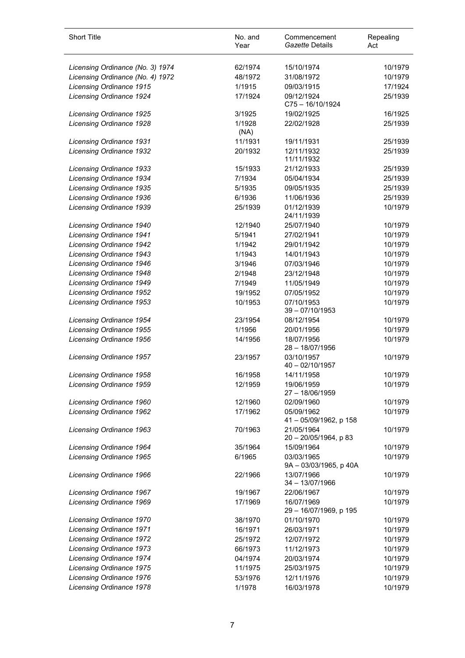| <b>Short Title</b>               | No. and<br>Year | Commencement<br>Gazette Details      | Repealing<br>Act |
|----------------------------------|-----------------|--------------------------------------|------------------|
| Licensing Ordinance (No. 3) 1974 | 62/1974         | 15/10/1974                           | 10/1979          |
| Licensing Ordinance (No. 4) 1972 | 48/1972         | 31/08/1972                           | 10/1979          |
| <b>Licensing Ordinance 1915</b>  | 1/1915          | 09/03/1915                           | 17/1924          |
| <b>Licensing Ordinance 1924</b>  | 17/1924         | 09/12/1924<br>C75-16/10/1924         | 25/1939          |
| Licensing Ordinance 1925         | 3/1925          | 19/02/1925                           | 16/1925          |
| <b>Licensing Ordinance 1928</b>  | 1/1928<br>(NA)  | 22/02/1928                           | 25/1939          |
| <b>Licensing Ordinance 1931</b>  | 11/1931         | 19/11/1931                           | 25/1939          |
| <b>Licensing Ordinance 1932</b>  | 20/1932         | 12/11/1932<br>11/11/1932             | 25/1939          |
| <b>Licensing Ordinance 1933</b>  | 15/1933         | 21/12/1933                           | 25/1939          |
| <b>Licensing Ordinance 1934</b>  | 7/1934          | 05/04/1934                           | 25/1939          |
| Licensing Ordinance 1935         | 5/1935          | 09/05/1935                           | 25/1939          |
| Licensing Ordinance 1936         | 6/1936          | 11/06/1936                           | 25/1939          |
| <b>Licensing Ordinance 1939</b>  | 25/1939         | 01/12/1939<br>24/11/1939             | 10/1979          |
| Licensing Ordinance 1940         | 12/1940         | 25/07/1940                           | 10/1979          |
| <b>Licensing Ordinance 1941</b>  | 5/1941          | 27/02/1941                           | 10/1979          |
| <b>Licensing Ordinance 1942</b>  | 1/1942          | 29/01/1942                           | 10/1979          |
| <b>Licensing Ordinance 1943</b>  | 1/1943          | 14/01/1943                           | 10/1979          |
| Licensing Ordinance 1946         | 3/1946          | 07/03/1946                           | 10/1979          |
| Licensing Ordinance 1948         | 2/1948          | 23/12/1948                           | 10/1979          |
| <b>Licensing Ordinance 1949</b>  | 7/1949          | 11/05/1949                           | 10/1979          |
| <b>Licensing Ordinance 1952</b>  | 19/1952         | 07/05/1952                           | 10/1979          |
| <b>Licensing Ordinance 1953</b>  | 10/1953         | 07/10/1953<br>$39 - 07/10/1953$      | 10/1979          |
| <b>Licensing Ordinance 1954</b>  | 23/1954         | 08/12/1954                           | 10/1979          |
| Licensing Ordinance 1955         | 1/1956          | 20/01/1956                           | 10/1979          |
| Licensing Ordinance 1956         | 14/1956         | 18/07/1956<br>$28 - 18/07/1956$      | 10/1979          |
| <b>Licensing Ordinance 1957</b>  | 23/1957         | 03/10/1957<br>$40 - 02/10/1957$      | 10/1979          |
| Licensing Ordinance 1958         | 16/1958         | 14/11/1958                           | 10/1979          |
| Licensing Ordinance 1959         | 12/1959         | 19/06/1959<br>27 - 18/06/1959        | 10/1979          |
| Licensing Ordinance 1960         | 12/1960         | 02/09/1960                           | 10/1979          |
| Licensing Ordinance 1962         | 17/1962         | 05/09/1962<br>41 - 05/09/1962, p 158 | 10/1979          |
| Licensing Ordinance 1963         | 70/1963         | 21/05/1964<br>20 - 20/05/1964, p 83  | 10/1979          |
| Licensing Ordinance 1964         | 35/1964         | 15/09/1964                           | 10/1979          |
| Licensing Ordinance 1965         | 6/1965          | 03/03/1965<br>9A - 03/03/1965, p 40A | 10/1979          |
| Licensing Ordinance 1966         | 22/1966         | 13/07/1966<br>$34 - 13/07/1966$      | 10/1979          |
| Licensing Ordinance 1967         | 19/1967         | 22/06/1967                           | 10/1979          |
| Licensing Ordinance 1969         | 17/1969         | 16/07/1969<br>29 - 16/07/1969, p 195 | 10/1979          |
| Licensing Ordinance 1970         | 38/1970         | 01/10/1970                           | 10/1979          |
| Licensing Ordinance 1971         | 16/1971         | 26/03/1971                           | 10/1979          |
| <b>Licensing Ordinance 1972</b>  | 25/1972         | 12/07/1972                           | 10/1979          |
| <b>Licensing Ordinance 1973</b>  | 66/1973         | 11/12/1973                           | 10/1979          |
| Licensing Ordinance 1974         | 04/1974         | 20/03/1974                           | 10/1979          |
| <b>Licensing Ordinance 1975</b>  | 11/1975         | 25/03/1975                           | 10/1979          |
| Licensing Ordinance 1976         | 53/1976         | 12/11/1976                           | 10/1979          |
| Licensing Ordinance 1978         | 1/1978          | 16/03/1978                           | 10/1979          |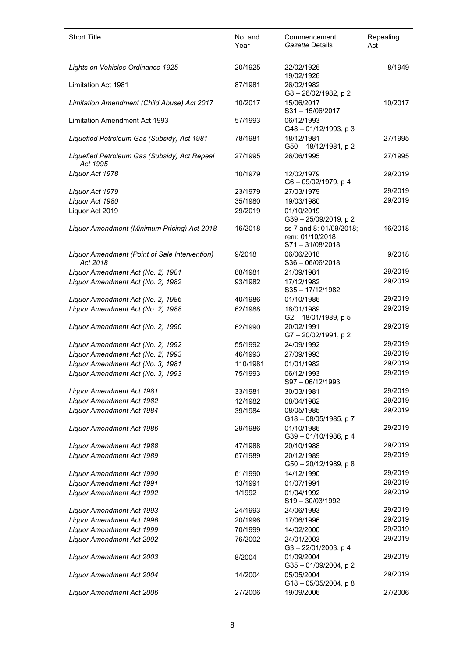| <b>Short Title</b>                                        | No. and<br>Year | Commencement<br>Gazette Details                              | Repealing<br>Act |
|-----------------------------------------------------------|-----------------|--------------------------------------------------------------|------------------|
| Lights on Vehicles Ordinance 1925                         | 20/1925         | 22/02/1926<br>19/02/1926                                     | 8/1949           |
| Limitation Act 1981                                       | 87/1981         | 26/02/1982<br>G8-26/02/1982, p2                              |                  |
| Limitation Amendment (Child Abuse) Act 2017               | 10/2017         | 15/06/2017<br>S31-15/06/2017                                 | 10/2017          |
| <b>Limitation Amendment Act 1993</b>                      | 57/1993         | 06/12/1993<br>G48-01/12/1993, p 3                            |                  |
| Liquefied Petroleum Gas (Subsidy) Act 1981                | 78/1981         | 18/12/1981<br>G50 - 18/12/1981, p 2                          | 27/1995          |
| Liquefied Petroleum Gas (Subsidy) Act Repeal<br>Act 1995  | 27/1995         | 26/06/1995                                                   | 27/1995          |
| Liquor Act 1978                                           | 10/1979         | 12/02/1979<br>G6-09/02/1979, p4                              | 29/2019          |
| Liquor Act 1979                                           | 23/1979         | 27/03/1979                                                   | 29/2019          |
| Liquor Act 1980                                           | 35/1980         | 19/03/1980                                                   | 29/2019          |
| Liquor Act 2019                                           | 29/2019         | 01/10/2019<br>G39-25/09/2019, p2                             |                  |
| Liquor Amendment (Minimum Pricing) Act 2018               | 16/2018         | ss 7 and 8: 01/09/2018;<br>rem: 01/10/2018<br>S71-31/08/2018 | 16/2018          |
| Liquor Amendment (Point of Sale Intervention)<br>Act 2018 | 9/2018          | 06/06/2018<br>$S36 - 06/06/2018$                             | 9/2018           |
| Liquor Amendment Act (No. 2) 1981                         | 88/1981         | 21/09/1981                                                   | 29/2019          |
| Liquor Amendment Act (No. 2) 1982                         | 93/1982         | 17/12/1982<br>S35-17/12/1982                                 | 29/2019          |
| Liquor Amendment Act (No. 2) 1986                         | 40/1986         | 01/10/1986                                                   | 29/2019          |
| Liquor Amendment Act (No. 2) 1988                         | 62/1988         | 18/01/1989<br>G2-18/01/1989, p 5                             | 29/2019          |
| Liquor Amendment Act (No. 2) 1990                         | 62/1990         | 20/02/1991<br>G7-20/02/1991, p2                              | 29/2019          |
| Liquor Amendment Act (No. 2) 1992                         | 55/1992         | 24/09/1992                                                   | 29/2019          |
| Liquor Amendment Act (No. 2) 1993                         | 46/1993         | 27/09/1993                                                   | 29/2019          |
| Liquor Amendment Act (No. 3) 1981                         | 110/1981        | 01/01/1982                                                   | 29/2019          |
| Liquor Amendment Act (No. 3) 1993                         | 75/1993         | 06/12/1993<br>S97-06/12/1993                                 | 29/2019          |
| <b>Liquor Amendment Act 1981</b>                          | 33/1981         | 30/03/1981                                                   | 29/2019          |
| Liquor Amendment Act 1982                                 | 12/1982         | 08/04/1982                                                   | 29/2019          |
| <b>Liquor Amendment Act 1984</b>                          | 39/1984         | 08/05/1985<br>G18-08/05/1985, p 7                            | 29/2019          |
| Liquor Amendment Act 1986                                 | 29/1986         | 01/10/1986<br>G39-01/10/1986, p 4                            | 29/2019          |
| Liquor Amendment Act 1988                                 | 47/1988         | 20/10/1988                                                   | 29/2019          |
| Liquor Amendment Act 1989                                 | 67/1989         | 20/12/1989<br>G50 - 20/12/1989, p 8                          | 29/2019          |
| Liquor Amendment Act 1990                                 | 61/1990         | 14/12/1990                                                   | 29/2019          |
| Liquor Amendment Act 1991                                 | 13/1991         | 01/07/1991                                                   | 29/2019          |
| <b>Liquor Amendment Act 1992</b>                          | 1/1992          | 01/04/1992<br>S19-30/03/1992                                 | 29/2019          |
| Liquor Amendment Act 1993                                 | 24/1993         | 24/06/1993                                                   | 29/2019          |
| Liquor Amendment Act 1996                                 | 20/1996         | 17/06/1996                                                   | 29/2019          |
| Liquor Amendment Act 1999                                 | 70/1999         | 14/02/2000                                                   | 29/2019          |
| Liquor Amendment Act 2002                                 | 76/2002         | 24/01/2003<br>G3-22/01/2003, p4                              | 29/2019          |
| Liquor Amendment Act 2003                                 | 8/2004          | 01/09/2004<br>G35-01/09/2004, p2                             | 29/2019          |
| Liquor Amendment Act 2004                                 | 14/2004         | 05/05/2004<br>$G18 - 05/05/2004$ , p 8                       | 29/2019          |
| Liquor Amendment Act 2006                                 | 27/2006         | 19/09/2006                                                   | 27/2006          |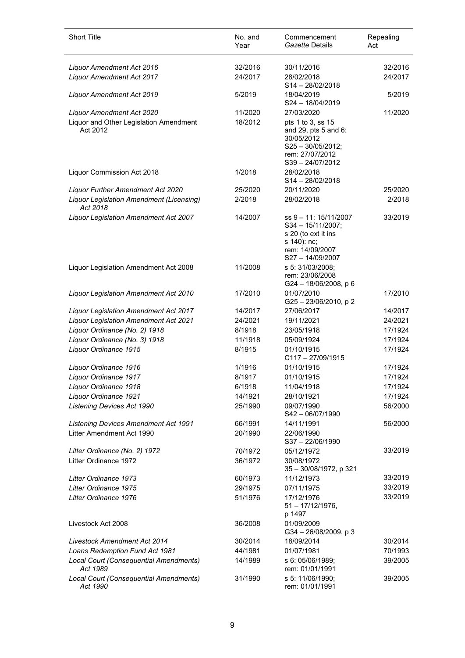| <b>Short Title</b>                                     | No. and<br>Year   | Commencement<br>Gazette Details                                                                                       | Repealing<br>Act   |
|--------------------------------------------------------|-------------------|-----------------------------------------------------------------------------------------------------------------------|--------------------|
| Liquor Amendment Act 2016                              | 32/2016           | 30/11/2016                                                                                                            | 32/2016            |
| <b>Liquor Amendment Act 2017</b>                       | 24/2017           | 28/02/2018<br>S14-28/02/2018                                                                                          | 24/2017            |
| <b>Liquor Amendment Act 2019</b>                       | 5/2019            | 18/04/2019<br>S24-18/04/2019                                                                                          | 5/2019             |
| Liquor Amendment Act 2020                              | 11/2020           | 27/03/2020                                                                                                            | 11/2020            |
| Liquor and Other Legislation Amendment<br>Act 2012     | 18/2012           | pts 1 to 3, ss 15<br>and 29, pts 5 and 6:<br>30/05/2012<br>$S25 - 30/05/2012;$<br>rem: 27/07/2012<br>S39-24/07/2012   |                    |
| Liquor Commission Act 2018                             | 1/2018            | 28/02/2018<br>S14-28/02/2018                                                                                          |                    |
| Liquor Further Amendment Act 2020                      | 25/2020           | 20/11/2020                                                                                                            | 25/2020            |
| Liquor Legislation Amendment (Licensing)<br>Act 2018   | 2/2018            | 28/02/2018                                                                                                            | 2/2018             |
| Liquor Legislation Amendment Act 2007                  | 14/2007           | ss 9 - 11: 15/11/2007<br>S34 - 15/11/2007;<br>s 20 (to ext it ins<br>s 140): nc;<br>rem: 14/09/2007<br>S27-14/09/2007 | 33/2019            |
| Liquor Legislation Amendment Act 2008                  | 11/2008           | s 5: 31/03/2008;<br>rem: 23/06/2008<br>G24 - 18/06/2008, p 6                                                          |                    |
| Liquor Legislation Amendment Act 2010                  | 17/2010           | 01/07/2010<br>G25-23/06/2010, p2                                                                                      | 17/2010            |
| <b>Liquor Legislation Amendment Act 2017</b>           | 14/2017           | 27/06/2017                                                                                                            | 14/2017            |
| Liquor Legislation Amendment Act 2021                  | 24/2021           | 19/11/2021                                                                                                            | 24/2021            |
| Liquor Ordinance (No. 2) 1918                          | 8/1918            | 23/05/1918                                                                                                            | 17/1924            |
| Liquor Ordinance (No. 3) 1918<br>Liquor Ordinance 1915 | 11/1918<br>8/1915 | 05/09/1924<br>01/10/1915                                                                                              | 17/1924<br>17/1924 |
|                                                        |                   | C117-27/09/1915                                                                                                       |                    |
| Liquor Ordinance 1916                                  | 1/1916            | 01/10/1915                                                                                                            | 17/1924            |
| Liquor Ordinance 1917                                  | 8/1917            | 01/10/1915                                                                                                            | 17/1924            |
| Liquor Ordinance 1918                                  | 6/1918            | 11/04/1918                                                                                                            | 17/1924            |
| Liquor Ordinance 1921                                  | 14/1921           | 28/10/1921                                                                                                            | 17/1924            |
| <b>Listening Devices Act 1990</b>                      | 25/1990           | 09/07/1990<br>S42-06/07/1990                                                                                          | 56/2000            |
| <b>Listening Devices Amendment Act 1991</b>            | 66/1991           | 14/11/1991                                                                                                            | 56/2000            |
| Litter Amendment Act 1990                              | 20/1990           | 22/06/1990<br>S37-22/06/1990                                                                                          |                    |
| Litter Ordinance (No. 2) 1972                          | 70/1972           | 05/12/1972                                                                                                            | 33/2019            |
| Litter Ordinance 1972                                  | 36/1972           | 30/08/1972<br>35 - 30/08/1972, p 321                                                                                  |                    |
| Litter Ordinance 1973                                  | 60/1973           | 11/12/1973                                                                                                            | 33/2019            |
| Litter Ordinance 1975                                  | 29/1975           | 07/11/1975                                                                                                            | 33/2019<br>33/2019 |
| Litter Ordinance 1976                                  | 51/1976           | 17/12/1976<br>$51 - 17/12/1976$ ,<br>p 1497                                                                           |                    |
| Livestock Act 2008                                     | 36/2008           | 01/09/2009<br>G34 - 26/08/2009, p 3                                                                                   |                    |
| <b>Livestock Amendment Act 2014</b>                    | 30/2014           | 18/09/2014                                                                                                            | 30/2014            |
| Loans Redemption Fund Act 1981                         | 44/1981           | 01/07/1981                                                                                                            | 70/1993            |
| Local Court (Consequential Amendments)<br>Act 1989     | 14/1989           | s 6: 05/06/1989;<br>rem: 01/01/1991                                                                                   | 39/2005            |
| Local Court (Consequential Amendments)<br>Act 1990     | 31/1990           | s 5: 11/06/1990;<br>rem: 01/01/1991                                                                                   | 39/2005            |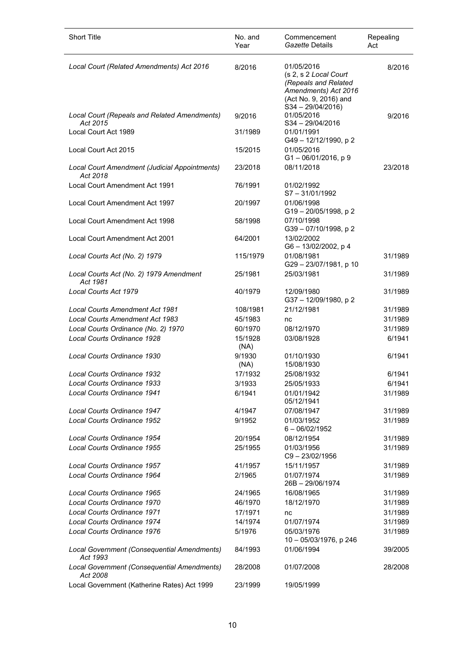| <b>Short Title</b>                                        | No. and<br>Year | Commencement<br>Gazette Details                                                                                                    | Repealing<br>Act |
|-----------------------------------------------------------|-----------------|------------------------------------------------------------------------------------------------------------------------------------|------------------|
| Local Court (Related Amendments) Act 2016                 | 8/2016          | 01/05/2016<br>(s 2, s 2 Local Court<br>(Repeals and Related<br>Amendments) Act 2016<br>(Act No. 9, 2016) and<br>$S34 - 29/04/2016$ | 8/2016           |
| Local Court (Repeals and Related Amendments)<br>Act 2015  | 9/2016          | 01/05/2016<br>$S34 - 29/04/2016$                                                                                                   | 9/2016           |
| Local Court Act 1989                                      | 31/1989         | 01/01/1991<br>G49-12/12/1990, p2                                                                                                   |                  |
| Local Court Act 2015                                      | 15/2015         | 01/05/2016<br>$G1 - 06/01/2016$ , p 9                                                                                              |                  |
| Local Court Amendment (Judicial Appointments)<br>Act 2018 | 23/2018         | 08/11/2018                                                                                                                         | 23/2018          |
| Local Court Amendment Act 1991                            | 76/1991         | 01/02/1992<br>$S7 - 31/01/1992$                                                                                                    |                  |
| Local Court Amendment Act 1997                            | 20/1997         | 01/06/1998<br>G19-20/05/1998, p2                                                                                                   |                  |
| Local Court Amendment Act 1998                            | 58/1998         | 07/10/1998<br>G39-07/10/1998, p2                                                                                                   |                  |
| Local Court Amendment Act 2001                            | 64/2001         | 13/02/2002<br>G6 - 13/02/2002, p 4                                                                                                 |                  |
| Local Courts Act (No. 2) 1979                             | 115/1979        | 01/08/1981<br>G29-23/07/1981, p 10                                                                                                 | 31/1989          |
| Local Courts Act (No. 2) 1979 Amendment<br>Act 1981       | 25/1981         | 25/03/1981                                                                                                                         | 31/1989          |
| Local Courts Act 1979                                     | 40/1979         | 12/09/1980<br>G37-12/09/1980, p2                                                                                                   | 31/1989          |
| <b>Local Courts Amendment Act 1981</b>                    | 108/1981        | 21/12/1981                                                                                                                         | 31/1989          |
| <b>Local Courts Amendment Act 1983</b>                    | 45/1983         | nc                                                                                                                                 | 31/1989          |
| Local Courts Ordinance (No. 2) 1970                       | 60/1970         | 08/12/1970                                                                                                                         | 31/1989          |
| Local Courts Ordinance 1928                               | 15/1928<br>(NA) | 03/08/1928                                                                                                                         | 6/1941           |
| Local Courts Ordinance 1930                               | 9/1930<br>(NA)  | 01/10/1930<br>15/08/1930                                                                                                           | 6/1941           |
| Local Courts Ordinance 1932                               | 17/1932         | 25/08/1932                                                                                                                         | 6/1941           |
| Local Courts Ordinance 1933                               | 3/1933          | 25/05/1933                                                                                                                         | 6/1941           |
| Local Courts Ordinance 1941                               | 6/1941          | 01/01/1942<br>05/12/1941                                                                                                           | 31/1989          |
| Local Courts Ordinance 1947                               | 4/1947          | 07/08/1947                                                                                                                         | 31/1989          |
| Local Courts Ordinance 1952                               | 9/1952          | 01/03/1952<br>$6 - 06/02/1952$                                                                                                     | 31/1989          |
| Local Courts Ordinance 1954                               | 20/1954         | 08/12/1954                                                                                                                         | 31/1989          |
| Local Courts Ordinance 1955                               | 25/1955         | 01/03/1956<br>C9-23/02/1956                                                                                                        | 31/1989          |
| Local Courts Ordinance 1957                               | 41/1957         | 15/11/1957                                                                                                                         | 31/1989          |
| Local Courts Ordinance 1964                               | 2/1965          | 01/07/1974<br>26B-29/06/1974                                                                                                       | 31/1989          |
| Local Courts Ordinance 1965                               | 24/1965         | 16/08/1965                                                                                                                         | 31/1989          |
| Local Courts Ordinance 1970                               | 46/1970         | 18/12/1970                                                                                                                         | 31/1989          |
| Local Courts Ordinance 1971                               | 17/1971         | nc                                                                                                                                 | 31/1989          |
| Local Courts Ordinance 1974                               | 14/1974         | 01/07/1974                                                                                                                         | 31/1989          |
| Local Courts Ordinance 1976                               | 5/1976          | 05/03/1976<br>10 - 05/03/1976, p 246                                                                                               | 31/1989          |
| Local Government (Consequential Amendments)<br>Act 1993   | 84/1993         | 01/06/1994                                                                                                                         | 39/2005          |
| Local Government (Consequential Amendments)<br>Act 2008   | 28/2008         | 01/07/2008                                                                                                                         | 28/2008          |
| Local Government (Katherine Rates) Act 1999               | 23/1999         | 19/05/1999                                                                                                                         |                  |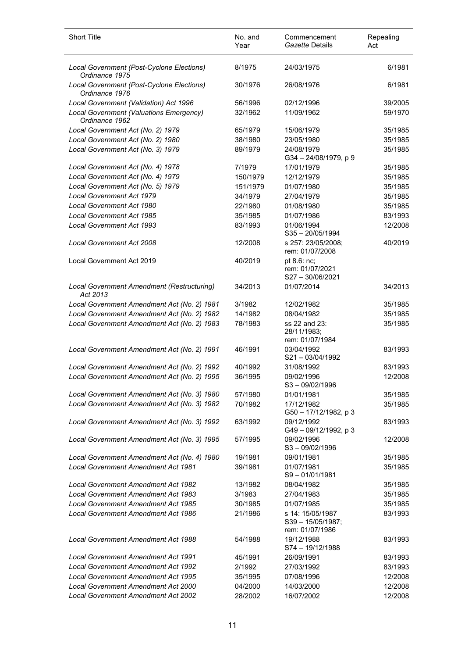| <b>Short Title</b>                                          | No. and<br>Year | Commencement<br>Gazette Details                        | Repealing<br>Act |
|-------------------------------------------------------------|-----------------|--------------------------------------------------------|------------------|
| Local Government (Post-Cyclone Elections)<br>Ordinance 1975 | 8/1975          | 24/03/1975                                             | 6/1981           |
| Local Government (Post-Cyclone Elections)<br>Ordinance 1976 | 30/1976         | 26/08/1976                                             | 6/1981           |
| Local Government (Validation) Act 1996                      | 56/1996         | 02/12/1996                                             | 39/2005          |
| Local Government (Valuations Emergency)<br>Ordinance 1962   | 32/1962         | 11/09/1962                                             | 59/1970          |
| Local Government Act (No. 2) 1979                           | 65/1979         | 15/06/1979                                             | 35/1985          |
| Local Government Act (No. 2) 1980                           | 38/1980         | 23/05/1980                                             | 35/1985          |
| Local Government Act (No. 3) 1979                           | 89/1979         | 24/08/1979<br>G34-24/08/1979, p9                       | 35/1985          |
| Local Government Act (No. 4) 1978                           | 7/1979          | 17/01/1979                                             | 35/1985          |
| Local Government Act (No. 4) 1979                           | 150/1979        | 12/12/1979                                             | 35/1985          |
| Local Government Act (No. 5) 1979                           | 151/1979        | 01/07/1980                                             | 35/1985          |
| <b>Local Government Act 1979</b>                            | 34/1979         | 27/04/1979                                             | 35/1985          |
| <b>Local Government Act 1980</b>                            | 22/1980         | 01/08/1980                                             | 35/1985          |
| Local Government Act 1985                                   | 35/1985         | 01/07/1986                                             | 83/1993          |
| <b>Local Government Act 1993</b>                            | 83/1993         | 01/06/1994<br>$S35 - 20/05/1994$                       | 12/2008          |
| <b>Local Government Act 2008</b>                            | 12/2008         | s 257: 23/05/2008;<br>rem: 01/07/2008                  | 40/2019          |
| Local Government Act 2019                                   | 40/2019         | pt 8.6: nc;<br>rem: 01/07/2021<br>S27-30/06/2021       |                  |
| Local Government Amendment (Restructuring)<br>Act 2013      | 34/2013         | 01/07/2014                                             | 34/2013          |
| Local Government Amendment Act (No. 2) 1981                 | 3/1982          | 12/02/1982                                             | 35/1985          |
| Local Government Amendment Act (No. 2) 1982                 | 14/1982         | 08/04/1982                                             | 35/1985          |
| Local Government Amendment Act (No. 2) 1983                 | 78/1983         | ss 22 and 23:<br>28/11/1983;<br>rem: 01/07/1984        | 35/1985          |
| Local Government Amendment Act (No. 2) 1991                 | 46/1991         | 03/04/1992<br>S21-03/04/1992                           | 83/1993          |
| Local Government Amendment Act (No. 2) 1992                 | 40/1992         | 31/08/1992                                             | 83/1993          |
| Local Government Amendment Act (No. 2) 1995                 | 36/1995         | 09/02/1996<br>S3-09/02/1996                            | 12/2008          |
| Local Government Amendment Act (No. 3) 1980                 | 57/1980         | 01/01/1981                                             | 35/1985          |
| Local Government Amendment Act (No. 3) 1982                 | 70/1982         | 17/12/1982<br>G50 - 17/12/1982, p 3                    | 35/1985          |
| Local Government Amendment Act (No. 3) 1992                 | 63/1992         | 09/12/1992<br>G49-09/12/1992, p 3                      | 83/1993          |
| Local Government Amendment Act (No. 3) 1995                 | 57/1995         | 09/02/1996<br>S3-09/02/1996                            | 12/2008          |
| Local Government Amendment Act (No. 4) 1980                 | 19/1981         | 09/01/1981                                             | 35/1985          |
| <b>Local Government Amendment Act 1981</b>                  | 39/1981         | 01/07/1981<br>S9-01/01/1981                            | 35/1985          |
| <b>Local Government Amendment Act 1982</b>                  | 13/1982         | 08/04/1982                                             | 35/1985          |
| Local Government Amendment Act 1983                         | 3/1983          | 27/04/1983                                             | 35/1985          |
| <b>Local Government Amendment Act 1985</b>                  | 30/1985         | 01/07/1985                                             | 35/1985          |
| <b>Local Government Amendment Act 1986</b>                  | 21/1986         | s 14: 15/05/1987<br>S39-15/05/1987;<br>rem: 01/07/1986 | 83/1993          |
| <b>Local Government Amendment Act 1988</b>                  | 54/1988         | 19/12/1988<br>S74-19/12/1988                           | 83/1993          |
| <b>Local Government Amendment Act 1991</b>                  | 45/1991         | 26/09/1991                                             | 83/1993          |
| <b>Local Government Amendment Act 1992</b>                  | 2/1992          | 27/03/1992                                             | 83/1993          |
| <b>Local Government Amendment Act 1995</b>                  | 35/1995         | 07/08/1996                                             | 12/2008          |
| <b>Local Government Amendment Act 2000</b>                  | 04/2000         | 14/03/2000                                             | 12/2008          |
| <b>Local Government Amendment Act 2002</b>                  | 28/2002         | 16/07/2002                                             | 12/2008          |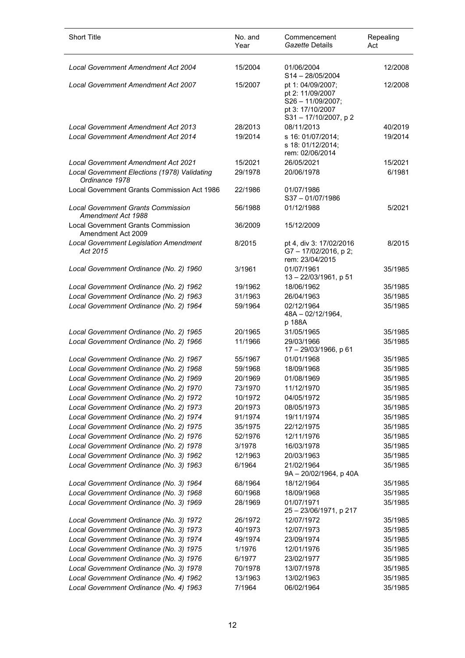| <b>Short Title</b>                                              | No. and<br>Year | Commencement<br>Gazette Details                                                                         | Repealing<br>Act |
|-----------------------------------------------------------------|-----------------|---------------------------------------------------------------------------------------------------------|------------------|
| <b>Local Government Amendment Act 2004</b>                      | 15/2004         | 01/06/2004<br>$S14 - 28/05/2004$                                                                        | 12/2008          |
| Local Government Amendment Act 2007                             | 15/2007         | pt 1: 04/09/2007;<br>pt 2: 11/09/2007<br>$S26 - 11/09/2007$ ;<br>pt 3: 17/10/2007<br>S31-17/10/2007, p2 | 12/2008          |
| <b>Local Government Amendment Act 2013</b>                      | 28/2013         | 08/11/2013                                                                                              | 40/2019          |
| <b>Local Government Amendment Act 2014</b>                      | 19/2014         | s 16: 01/07/2014;<br>s 18: 01/12/2014;<br>rem: 02/06/2014                                               | 19/2014          |
| Local Government Amendment Act 2021                             | 15/2021         | 26/05/2021                                                                                              | 15/2021          |
| Local Government Elections (1978) Validating<br>Ordinance 1978  | 29/1978         | 20/06/1978                                                                                              | 6/1981           |
| Local Government Grants Commission Act 1986                     | 22/1986         | 01/07/1986<br>$S37 - 01/07/1986$                                                                        |                  |
| <b>Local Government Grants Commission</b><br>Amendment Act 1988 | 56/1988         | 01/12/1988                                                                                              | 5/2021           |
| <b>Local Government Grants Commission</b><br>Amendment Act 2009 | 36/2009         | 15/12/2009                                                                                              |                  |
| <b>Local Government Legislation Amendment</b><br>Act 2015       | 8/2015          | pt 4, div 3: 17/02/2016<br>G7-17/02/2016, p2;<br>rem: 23/04/2015                                        | 8/2015           |
| Local Government Ordinance (No. 2) 1960                         | 3/1961          | 01/07/1961<br>$13 - 22/03/1961$ , p 51                                                                  | 35/1985          |
| Local Government Ordinance (No. 2) 1962                         | 19/1962         | 18/06/1962                                                                                              | 35/1985          |
| Local Government Ordinance (No. 2) 1963                         | 31/1963         | 26/04/1963                                                                                              | 35/1985          |
| Local Government Ordinance (No. 2) 1964                         | 59/1964         | 02/12/1964<br>48A - 02/12/1964,<br>p 188A                                                               | 35/1985          |
| Local Government Ordinance (No. 2) 1965                         | 20/1965         | 31/05/1965                                                                                              | 35/1985          |
| Local Government Ordinance (No. 2) 1966                         | 11/1966         | 29/03/1966<br>17 - 29/03/1966, p 61                                                                     | 35/1985          |
| Local Government Ordinance (No. 2) 1967                         | 55/1967         | 01/01/1968                                                                                              | 35/1985          |
| Local Government Ordinance (No. 2) 1968                         | 59/1968         | 18/09/1968                                                                                              | 35/1985          |
| Local Government Ordinance (No. 2) 1969                         | 20/1969         | 01/08/1969                                                                                              | 35/1985          |
| Local Government Ordinance (No. 2) 1970                         | 73/1970         | 11/12/1970                                                                                              | 35/1985          |
| Local Government Ordinance (No. 2) 1972                         | 10/1972         | 04/05/1972                                                                                              | 35/1985          |
| Local Government Ordinance (No. 2) 1973                         | 20/1973         | 08/05/1973                                                                                              | 35/1985          |
| Local Government Ordinance (No. 2) 1974                         | 91/1974         | 19/11/1974                                                                                              | 35/1985          |
| Local Government Ordinance (No. 2) 1975                         | 35/1975         | 22/12/1975                                                                                              | 35/1985          |
| Local Government Ordinance (No. 2) 1976                         | 52/1976         | 12/11/1976                                                                                              | 35/1985          |
| Local Government Ordinance (No. 2) 1978                         | 3/1978          | 16/03/1978                                                                                              | 35/1985          |
| Local Government Ordinance (No. 3) 1962                         | 12/1963         | 20/03/1963                                                                                              | 35/1985          |
| Local Government Ordinance (No. 3) 1963                         | 6/1964          | 21/02/1964<br>9A - 20/02/1964, p 40A                                                                    | 35/1985          |
| Local Government Ordinance (No. 3) 1964                         | 68/1964         | 18/12/1964                                                                                              | 35/1985          |
| Local Government Ordinance (No. 3) 1968                         | 60/1968         | 18/09/1968                                                                                              | 35/1985          |
| Local Government Ordinance (No. 3) 1969                         | 28/1969         | 01/07/1971<br>25 - 23/06/1971, p 217                                                                    | 35/1985          |
| Local Government Ordinance (No. 3) 1972                         | 26/1972         | 12/07/1972                                                                                              | 35/1985          |
| Local Government Ordinance (No. 3) 1973                         | 40/1973         | 12/07/1973                                                                                              | 35/1985          |
| Local Government Ordinance (No. 3) 1974                         | 49/1974         | 23/09/1974                                                                                              | 35/1985          |
| Local Government Ordinance (No. 3) 1975                         | 1/1976          | 12/01/1976                                                                                              | 35/1985          |
| Local Government Ordinance (No. 3) 1976                         | 6/1977          | 23/02/1977                                                                                              | 35/1985          |
| Local Government Ordinance (No. 3) 1978                         | 70/1978         | 13/07/1978                                                                                              | 35/1985          |
| Local Government Ordinance (No. 4) 1962                         | 13/1963         | 13/02/1963                                                                                              | 35/1985          |
| Local Government Ordinance (No. 4) 1963                         | 7/1964          | 06/02/1964                                                                                              | 35/1985          |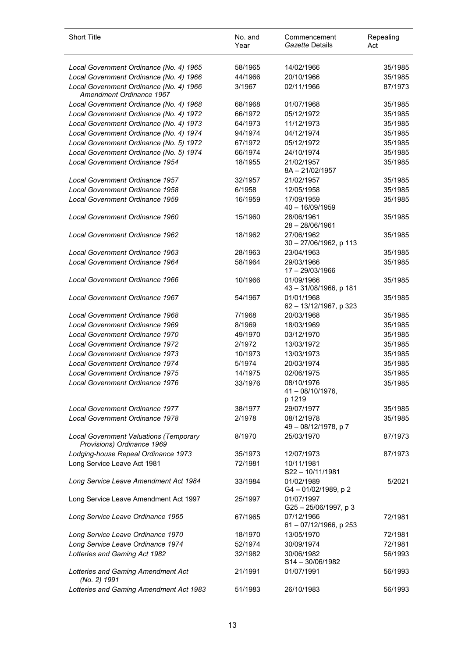| <b>Short Title</b>                                                          | No. and<br>Year | Commencement<br>Gazette Details             | Repealing<br>Act |
|-----------------------------------------------------------------------------|-----------------|---------------------------------------------|------------------|
| Local Government Ordinance (No. 4) 1965                                     | 58/1965         | 14/02/1966                                  | 35/1985          |
| Local Government Ordinance (No. 4) 1966                                     | 44/1966         | 20/10/1966                                  | 35/1985          |
| Local Government Ordinance (No. 4) 1966<br>Amendment Ordinance 1967         | 3/1967          | 02/11/1966                                  | 87/1973          |
| Local Government Ordinance (No. 4) 1968                                     | 68/1968         | 01/07/1968                                  | 35/1985          |
| Local Government Ordinance (No. 4) 1972                                     | 66/1972         | 05/12/1972                                  | 35/1985          |
| Local Government Ordinance (No. 4) 1973                                     | 64/1973         | 11/12/1973                                  | 35/1985          |
| Local Government Ordinance (No. 4) 1974                                     | 94/1974         | 04/12/1974                                  | 35/1985          |
| Local Government Ordinance (No. 5) 1972                                     | 67/1972         | 05/12/1972                                  | 35/1985          |
| Local Government Ordinance (No. 5) 1974                                     | 66/1974         | 24/10/1974                                  | 35/1985          |
| Local Government Ordinance 1954                                             | 18/1955         | 21/02/1957<br>$8A - 21/02/1957$             | 35/1985          |
| <b>Local Government Ordinance 1957</b>                                      | 32/1957         | 21/02/1957                                  | 35/1985          |
| Local Government Ordinance 1958                                             | 6/1958          | 12/05/1958                                  | 35/1985          |
| Local Government Ordinance 1959                                             | 16/1959         | 17/09/1959<br>$40 - 16/09/1959$             | 35/1985          |
| Local Government Ordinance 1960                                             | 15/1960         | 28/06/1961<br>$28 - 28/06/1961$             | 35/1985          |
| <b>Local Government Ordinance 1962</b>                                      | 18/1962         | 27/06/1962<br>30 - 27/06/1962, p 113        | 35/1985          |
| Local Government Ordinance 1963                                             | 28/1963         | 23/04/1963                                  | 35/1985          |
| Local Government Ordinance 1964                                             | 58/1964         | 29/03/1966<br>17 - 29/03/1966               | 35/1985          |
| Local Government Ordinance 1966                                             | 10/1966         | 01/09/1966<br>43 - 31/08/1966, p 181        | 35/1985          |
| <b>Local Government Ordinance 1967</b>                                      | 54/1967         | 01/01/1968<br>62 - 13/12/1967, p 323        | 35/1985          |
| Local Government Ordinance 1968                                             | 7/1968          | 20/03/1968                                  | 35/1985          |
| Local Government Ordinance 1969                                             | 8/1969          | 18/03/1969                                  | 35/1985          |
| Local Government Ordinance 1970                                             | 49/1970         | 03/12/1970                                  | 35/1985          |
| <b>Local Government Ordinance 1972</b>                                      | 2/1972          | 13/03/1972                                  | 35/1985          |
| <b>Local Government Ordinance 1973</b>                                      | 10/1973         | 13/03/1973                                  | 35/1985          |
| <b>Local Government Ordinance 1974</b>                                      | 5/1974          | 20/03/1974                                  | 35/1985          |
| <b>Local Government Ordinance 1975</b>                                      | 14/1975         | 02/06/1975                                  | 35/1985          |
| <b>Local Government Ordinance 1976</b>                                      | 33/1976         | 08/10/1976<br>$41 - 08/10/1976$ ,<br>p 1219 | 35/1985          |
| <b>Local Government Ordinance 1977</b>                                      | 38/1977         | 29/07/1977                                  | 35/1985          |
| Local Government Ordinance 1978                                             | 2/1978          | 08/12/1978<br>49 - 08/12/1978, p 7          | 35/1985          |
| <b>Local Government Valuations (Temporary</b><br>Provisions) Ordinance 1969 | 8/1970          | 25/03/1970                                  | 87/1973          |
| Lodging-house Repeal Ordinance 1973                                         | 35/1973         | 12/07/1973                                  | 87/1973          |
| Long Service Leave Act 1981                                                 | 72/1981         | 10/11/1981<br>S22-10/11/1981                |                  |
| Long Service Leave Amendment Act 1984                                       | 33/1984         | 01/02/1989<br>G4-01/02/1989, p2             | 5/2021           |
| Long Service Leave Amendment Act 1997                                       | 25/1997         | 01/07/1997<br>G25-25/06/1997, p 3           |                  |
| Long Service Leave Ordinance 1965                                           | 67/1965         | 07/12/1966<br>61 - 07/12/1966, p 253        | 72/1981          |
| Long Service Leave Ordinance 1970                                           | 18/1970         | 13/05/1970                                  | 72/1981          |
| Long Service Leave Ordinance 1974                                           | 52/1974         | 30/09/1974                                  | 72/1981          |
| Lotteries and Gaming Act 1982                                               | 32/1982         | 30/06/1982<br>$S14 - 30/06/1982$            | 56/1993          |
| Lotteries and Gaming Amendment Act<br>(No. 2) 1991                          | 21/1991         | 01/07/1991                                  | 56/1993          |
| Lotteries and Gaming Amendment Act 1983                                     | 51/1983         | 26/10/1983                                  | 56/1993          |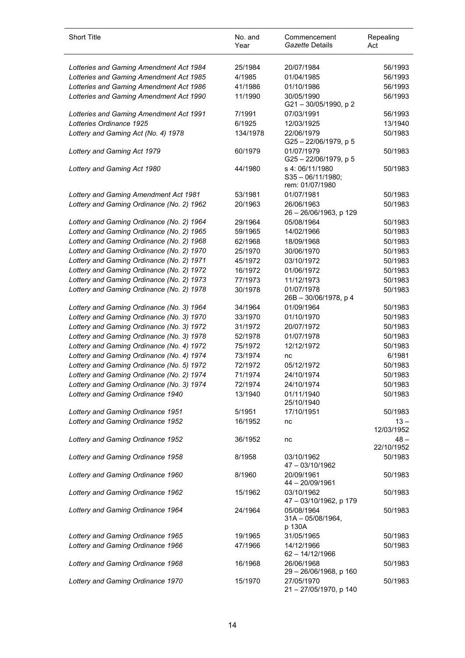| <b>Short Title</b>                        | No. and<br>Year | Commencement<br>Gazette Details                          | Repealing<br>Act     |
|-------------------------------------------|-----------------|----------------------------------------------------------|----------------------|
| Lotteries and Gaming Amendment Act 1984   | 25/1984         | 20/07/1984                                               | 56/1993              |
| Lotteries and Gaming Amendment Act 1985   | 4/1985          | 01/04/1985                                               | 56/1993              |
| Lotteries and Gaming Amendment Act 1986   | 41/1986         | 01/10/1986                                               | 56/1993              |
| Lotteries and Gaming Amendment Act 1990   | 11/1990         | 30/05/1990                                               | 56/1993              |
|                                           |                 | G21-30/05/1990, p 2                                      |                      |
| Lotteries and Gaming Amendment Act 1991   | 7/1991          | 07/03/1991                                               | 56/1993              |
| Lotteries Ordinance 1925                  | 6/1925          | 12/03/1925                                               | 13/1940              |
| Lottery and Gaming Act (No. 4) 1978       | 134/1978        | 22/06/1979<br>G25-22/06/1979, p 5                        | 50/1983              |
| Lottery and Gaming Act 1979               | 60/1979         | 01/07/1979<br>G25 - 22/06/1979, p 5                      | 50/1983              |
| Lottery and Gaming Act 1980               | 44/1980         | s 4:06/11/1980<br>$S35 - 06/11/1980;$<br>rem: 01/07/1980 | 50/1983              |
| Lottery and Gaming Amendment Act 1981     | 53/1981         | 01/07/1981                                               | 50/1983              |
| Lottery and Gaming Ordinance (No. 2) 1962 | 20/1963         | 26/06/1963<br>26 - 26/06/1963, p 129                     | 50/1983              |
| Lottery and Gaming Ordinance (No. 2) 1964 | 29/1964         | 05/08/1964                                               | 50/1983              |
| Lottery and Gaming Ordinance (No. 2) 1965 | 59/1965         | 14/02/1966                                               | 50/1983              |
| Lottery and Gaming Ordinance (No. 2) 1968 | 62/1968         | 18/09/1968                                               | 50/1983              |
| Lottery and Gaming Ordinance (No. 2) 1970 | 25/1970         | 30/06/1970                                               | 50/1983              |
| Lottery and Gaming Ordinance (No. 2) 1971 | 45/1972         | 03/10/1972                                               | 50/1983              |
| Lottery and Gaming Ordinance (No. 2) 1972 | 16/1972         | 01/06/1972                                               | 50/1983              |
| Lottery and Gaming Ordinance (No. 2) 1973 | 77/1973         | 11/12/1973                                               | 50/1983              |
| Lottery and Gaming Ordinance (No. 2) 1978 | 30/1978         | 01/07/1978<br>26B - 30/06/1978, p 4                      | 50/1983              |
| Lottery and Gaming Ordinance (No. 3) 1964 | 34/1964         | 01/09/1964                                               | 50/1983              |
| Lottery and Gaming Ordinance (No. 3) 1970 | 33/1970         | 01/10/1970                                               | 50/1983              |
| Lottery and Gaming Ordinance (No. 3) 1972 | 31/1972         | 20/07/1972                                               | 50/1983              |
| Lottery and Gaming Ordinance (No. 3) 1978 | 52/1978         | 01/07/1978                                               | 50/1983              |
| Lottery and Gaming Ordinance (No. 4) 1972 | 75/1972         | 12/12/1972                                               | 50/1983              |
| Lottery and Gaming Ordinance (No. 4) 1974 | 73/1974         | nc                                                       | 6/1981               |
| Lottery and Gaming Ordinance (No. 5) 1972 | 72/1972         | 05/12/1972                                               | 50/1983              |
| Lottery and Gaming Ordinance (No. 2) 1974 | 71/1974         | 24/10/1974                                               | 50/1983              |
| Lottery and Gaming Ordinance (No. 3) 1974 | 72/1974         | 24/10/1974                                               | 50/1983              |
| Lottery and Gaming Ordinance 1940         | 13/1940         | 01/11/1940<br>25/10/1940                                 | 50/1983              |
| Lottery and Gaming Ordinance 1951         | 5/1951          | 17/10/1951                                               | 50/1983              |
| Lottery and Gaming Ordinance 1952         | 16/1952         | nc                                                       | $13 -$<br>12/03/1952 |
| Lottery and Gaming Ordinance 1952         | 36/1952         | nc                                                       | $48 -$<br>22/10/1952 |
| Lottery and Gaming Ordinance 1958         | 8/1958          | 03/10/1962<br>47 - 03/10/1962                            | 50/1983              |
| Lottery and Gaming Ordinance 1960         | 8/1960          | 20/09/1961<br>44 - 20/09/1961                            | 50/1983              |
| Lottery and Gaming Ordinance 1962         | 15/1962         | 03/10/1962<br>47 - 03/10/1962, p 179                     | 50/1983              |
| Lottery and Gaming Ordinance 1964         | 24/1964         | 05/08/1964<br>$31A - 05/08/1964$ ,<br>p 130A             | 50/1983              |
| Lottery and Gaming Ordinance 1965         | 19/1965         | 31/05/1965                                               | 50/1983              |
| Lottery and Gaming Ordinance 1966         | 47/1966         | 14/12/1966<br>62 - 14/12/1966                            | 50/1983              |
| Lottery and Gaming Ordinance 1968         | 16/1968         | 26/06/1968<br>29 - 26/06/1968, p 160                     | 50/1983              |
| Lottery and Gaming Ordinance 1970         | 15/1970         | 27/05/1970<br>21 - 27/05/1970, p 140                     | 50/1983              |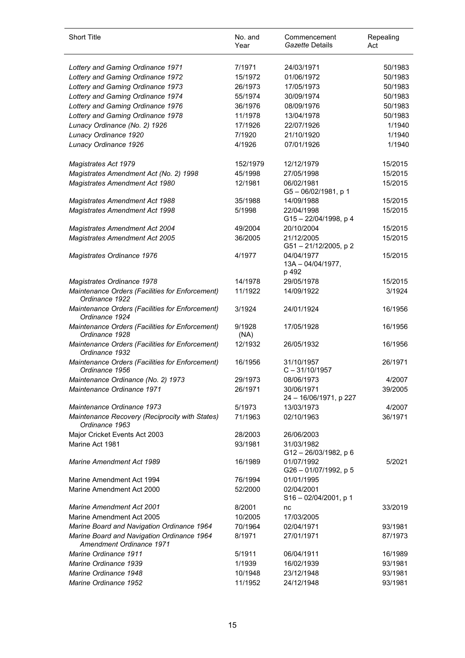| <b>Short Title</b>                                                     | No. and<br>Year | Commencement<br>Gazette Details          | Repealing<br>Act |
|------------------------------------------------------------------------|-----------------|------------------------------------------|------------------|
| Lottery and Gaming Ordinance 1971                                      | 7/1971          | 24/03/1971                               | 50/1983          |
| Lottery and Gaming Ordinance 1972                                      | 15/1972         | 01/06/1972                               | 50/1983          |
| Lottery and Gaming Ordinance 1973                                      | 26/1973         | 17/05/1973                               | 50/1983          |
| Lottery and Gaming Ordinance 1974                                      | 55/1974         | 30/09/1974                               | 50/1983          |
| Lottery and Gaming Ordinance 1976                                      | 36/1976         | 08/09/1976                               | 50/1983          |
| Lottery and Gaming Ordinance 1978                                      | 11/1978         | 13/04/1978                               | 50/1983          |
| Lunacy Ordinance (No. 2) 1926                                          | 17/1926         | 22/07/1926                               | 1/1940           |
| Lunacy Ordinance 1920                                                  | 7/1920          | 21/10/1920                               | 1/1940           |
| Lunacy Ordinance 1926                                                  | 4/1926          | 07/01/1926                               | 1/1940           |
| Magistrates Act 1979                                                   | 152/1979        | 12/12/1979                               | 15/2015          |
| Magistrates Amendment Act (No. 2) 1998                                 | 45/1998         | 27/05/1998                               | 15/2015          |
| Magistrates Amendment Act 1980                                         | 12/1981         | 06/02/1981<br>G5-06/02/1981, p 1         | 15/2015          |
| <b>Magistrates Amendment Act 1988</b>                                  | 35/1988         | 14/09/1988                               | 15/2015          |
| <b>Magistrates Amendment Act 1998</b>                                  | 5/1998          | 22/04/1998<br>G15-22/04/1998, p 4        | 15/2015          |
| <b>Magistrates Amendment Act 2004</b>                                  | 49/2004         | 20/10/2004                               | 15/2015          |
| <b>Magistrates Amendment Act 2005</b>                                  | 36/2005         | 21/12/2005<br>G51-21/12/2005, p2         | 15/2015          |
| Magistrates Ordinance 1976                                             | 4/1977          | 04/04/1977<br>13A - 04/04/1977,<br>p 492 | 15/2015          |
| Magistrates Ordinance 1978                                             | 14/1978         | 29/05/1978                               | 15/2015          |
| Maintenance Orders (Facilities for Enforcement)<br>Ordinance 1922      | 11/1922         | 14/09/1922                               | 3/1924           |
| Maintenance Orders (Facilities for Enforcement)<br>Ordinance 1924      | 3/1924          | 24/01/1924                               | 16/1956          |
| Maintenance Orders (Facilities for Enforcement)<br>Ordinance 1928      | 9/1928<br>(NA)  | 17/05/1928                               | 16/1956          |
| Maintenance Orders (Facilities for Enforcement)<br>Ordinance 1932      | 12/1932         | 26/05/1932                               | 16/1956          |
| Maintenance Orders (Facilities for Enforcement)<br>Ordinance 1956      | 16/1956         | 31/10/1957<br>$C - 31/10/1957$           | 26/1971          |
| Maintenance Ordinance (No. 2) 1973                                     | 29/1973         | 08/06/1973                               | 4/2007           |
| Maintenance Ordinance 1971                                             | 26/1971         | 30/06/1971<br>24 - 16/06/1971, p 227     | 39/2005          |
| Maintenance Ordinance 1973                                             | 5/1973          | 13/03/1973                               | 4/2007           |
| Maintenance Recovery (Reciprocity with States)<br>Ordinance 1963       | 71/1963         | 02/10/1963                               | 36/1971          |
| Major Cricket Events Act 2003                                          | 28/2003         | 26/06/2003                               |                  |
| Marine Act 1981                                                        | 93/1981         | 31/03/1982<br>G12-26/03/1982, p 6        |                  |
| <b>Marine Amendment Act 1989</b>                                       | 16/1989         | 01/07/1992<br>G26-01/07/1992, p 5        | 5/2021           |
| Marine Amendment Act 1994                                              | 76/1994         | 01/01/1995                               |                  |
| Marine Amendment Act 2000                                              | 52/2000         | 02/04/2001<br>$S16 - 02/04/2001$ , p 1   |                  |
| <b>Marine Amendment Act 2001</b>                                       | 8/2001          | nc                                       | 33/2019          |
| Marine Amendment Act 2005                                              | 10/2005         | 17/03/2005                               |                  |
| Marine Board and Navigation Ordinance 1964                             | 70/1964         | 02/04/1971                               | 93/1981          |
| Marine Board and Navigation Ordinance 1964<br>Amendment Ordinance 1971 | 8/1971          | 27/01/1971                               | 87/1973          |
| Marine Ordinance 1911                                                  | 5/1911          | 06/04/1911                               | 16/1989          |
| Marine Ordinance 1939                                                  | 1/1939          | 16/02/1939                               | 93/1981          |
| Marine Ordinance 1948                                                  | 10/1948         | 23/12/1948                               | 93/1981          |
| Marine Ordinance 1952                                                  | 11/1952         | 24/12/1948                               | 93/1981          |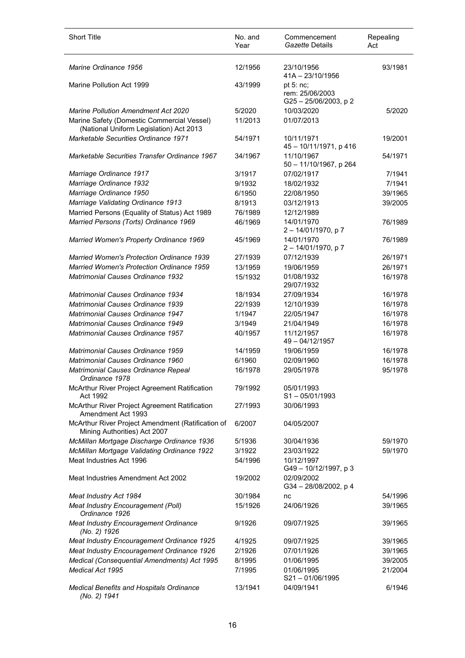| <b>Short Title</b>                                                                    | No. and<br>Year | Commencement<br>Gazette Details                     | Repealing<br>Act |
|---------------------------------------------------------------------------------------|-----------------|-----------------------------------------------------|------------------|
| Marine Ordinance 1956                                                                 | 12/1956         | 23/10/1956<br>41A - 23/10/1956                      | 93/1981          |
| Marine Pollution Act 1999                                                             | 43/1999         | pt $5:nc;$<br>rem: 25/06/2003<br>G25-25/06/2003, p2 |                  |
| <b>Marine Pollution Amendment Act 2020</b>                                            | 5/2020          | 10/03/2020                                          | 5/2020           |
| Marine Safety (Domestic Commercial Vessel)<br>(National Uniform Legislation) Act 2013 | 11/2013         | 01/07/2013                                          |                  |
| Marketable Securities Ordinance 1971                                                  | 54/1971         | 10/11/1971<br>45 - 10/11/1971, p 416                | 19/2001          |
| Marketable Securities Transfer Ordinance 1967                                         | 34/1967         | 11/10/1967<br>50 - 11/10/1967, p 264                | 54/1971          |
| Marriage Ordinance 1917                                                               | 3/1917          | 07/02/1917                                          | 7/1941           |
| Marriage Ordinance 1932                                                               | 9/1932          | 18/02/1932                                          | 7/1941           |
| Marriage Ordinance 1950                                                               | 6/1950          | 22/08/1950                                          | 39/1965          |
| Marriage Validating Ordinance 1913                                                    | 8/1913          | 03/12/1913                                          | 39/2005          |
| Married Persons (Equality of Status) Act 1989                                         | 76/1989         | 12/12/1989                                          |                  |
| Married Persons (Torts) Ordinance 1969                                                | 46/1969         | 14/01/1970<br>$2 - 14/01/1970$ , p 7                | 76/1989          |
| Married Women's Property Ordinance 1969                                               | 45/1969         | 14/01/1970<br>2-14/01/1970, p7                      | 76/1989          |
| <b>Married Women's Protection Ordinance 1939</b>                                      | 27/1939         | 07/12/1939                                          | 26/1971          |
| <b>Married Women's Protection Ordinance 1959</b>                                      | 13/1959         | 19/06/1959                                          | 26/1971          |
| <b>Matrimonial Causes Ordinance 1932</b>                                              | 15/1932         | 01/08/1932<br>29/07/1932                            | 16/1978          |
| <b>Matrimonial Causes Ordinance 1934</b>                                              | 18/1934         | 27/09/1934                                          | 16/1978          |
| <b>Matrimonial Causes Ordinance 1939</b>                                              | 22/1939         | 12/10/1939                                          | 16/1978          |
| <b>Matrimonial Causes Ordinance 1947</b>                                              | 1/1947          | 22/05/1947                                          | 16/1978          |
| <b>Matrimonial Causes Ordinance 1949</b>                                              | 3/1949          | 21/04/1949                                          | 16/1978          |
| Matrimonial Causes Ordinance 1957                                                     | 40/1957         | 11/12/1957<br>49 - 04/12/1957                       | 16/1978          |
| Matrimonial Causes Ordinance 1959                                                     | 14/1959         | 19/06/1959                                          | 16/1978          |
| Matrimonial Causes Ordinance 1960                                                     | 6/1960          | 02/09/1960                                          | 16/1978          |
| Matrimonial Causes Ordinance Repeal<br>Ordinance 1978                                 | 16/1978         | 29/05/1978                                          | 95/1978          |
| McArthur River Project Agreement Ratification<br>Act 1992                             | 79/1992         | 05/01/1993<br>$S1 - 05/01/1993$                     |                  |
| McArthur River Project Agreement Ratification<br>Amendment Act 1993                   | 27/1993         | 30/06/1993                                          |                  |
| McArthur River Project Amendment (Ratification of<br>Mining Authorities) Act 2007     | 6/2007          | 04/05/2007                                          |                  |
| McMillan Mortgage Discharge Ordinance 1936                                            | 5/1936          | 30/04/1936                                          | 59/1970          |
| McMillan Mortgage Validating Ordinance 1922                                           | 3/1922          | 23/03/1922                                          | 59/1970          |
| Meat Industries Act 1996                                                              | 54/1996         | 10/12/1997<br>G49 - 10/12/1997, p 3                 |                  |
| Meat Industries Amendment Act 2002                                                    | 19/2002         | 02/09/2002<br>G34-28/08/2002, p4                    |                  |
| Meat Industry Act 1984                                                                | 30/1984         | nc                                                  | 54/1996          |
| Meat Industry Encouragement (Poll)<br>Ordinance 1926                                  | 15/1926         | 24/06/1926                                          | 39/1965          |
| <b>Meat Industry Encouragement Ordinance</b><br>(No. 2) 1926                          | 9/1926          | 09/07/1925                                          | 39/1965          |
| <b>Meat Industry Encouragement Ordinance 1925</b>                                     | 4/1925          | 09/07/1925                                          | 39/1965          |
| Meat Industry Encouragement Ordinance 1926                                            | 2/1926          | 07/01/1926                                          | 39/1965          |
| Medical (Consequential Amendments) Act 1995                                           | 8/1995          | 01/06/1995                                          | 39/2005          |
| Medical Act 1995                                                                      | 7/1995          | 01/06/1995<br>S21-01/06/1995                        | 21/2004          |
| <b>Medical Benefits and Hospitals Ordinance</b><br>(No. 2) 1941                       | 13/1941         | 04/09/1941                                          | 6/1946           |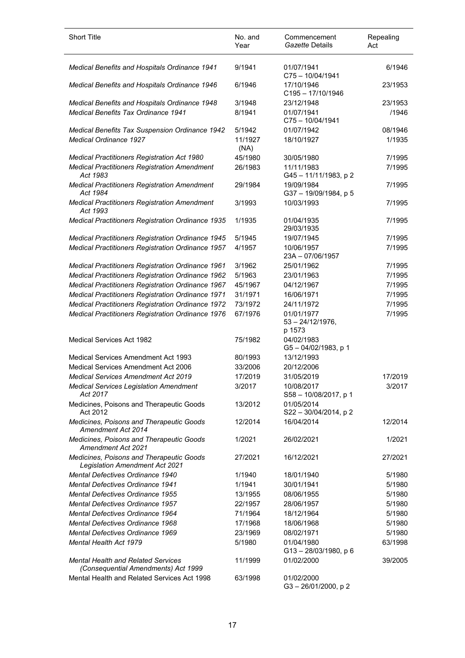| <b>Short Title</b>                                                                | No. and<br>Year | Commencement<br>Gazette Details             | Repealing<br>Act |
|-----------------------------------------------------------------------------------|-----------------|---------------------------------------------|------------------|
| Medical Benefits and Hospitals Ordinance 1941                                     | 9/1941          | 01/07/1941<br>$C75 - 10/04/1941$            | 6/1946           |
| Medical Benefits and Hospitals Ordinance 1946                                     | 6/1946          | 17/10/1946<br>$C195 - 17/10/1946$           | 23/1953          |
| Medical Benefits and Hospitals Ordinance 1948                                     | 3/1948          | 23/12/1948                                  | 23/1953          |
| <b>Medical Benefits Tax Ordinance 1941</b>                                        | 8/1941          | 01/07/1941<br>C75-10/04/1941                | /1946            |
| Medical Benefits Tax Suspension Ordinance 1942                                    | 5/1942          | 01/07/1942                                  | 08/1946          |
| <b>Medical Ordinance 1927</b>                                                     | 11/1927<br>(NA) | 18/10/1927                                  | 1/1935           |
| <b>Medical Practitioners Registration Act 1980</b>                                | 45/1980         | 30/05/1980                                  | 7/1995           |
| <b>Medical Practitioners Registration Amendment</b><br>Act 1983                   | 26/1983         | 11/11/1983<br>G45-11/11/1983, p2            | 7/1995           |
| <b>Medical Practitioners Registration Amendment</b><br>Act 1984                   | 29/1984         | 19/09/1984<br>G37-19/09/1984, p 5           | 7/1995           |
| <b>Medical Practitioners Registration Amendment</b><br>Act 1993                   | 3/1993          | 10/03/1993                                  | 7/1995           |
| <b>Medical Practitioners Registration Ordinance 1935</b>                          | 1/1935          | 01/04/1935<br>29/03/1935                    | 7/1995           |
| <b>Medical Practitioners Registration Ordinance 1945</b>                          | 5/1945          | 19/07/1945                                  | 7/1995           |
| <b>Medical Practitioners Registration Ordinance 1957</b>                          | 4/1957          | 10/06/1957<br>23A-07/06/1957                | 7/1995           |
| <b>Medical Practitioners Registration Ordinance 1961</b>                          | 3/1962          | 25/01/1962                                  | 7/1995           |
| <b>Medical Practitioners Registration Ordinance 1962</b>                          | 5/1963          | 23/01/1963                                  | 7/1995           |
| Medical Practitioners Registration Ordinance 1967                                 | 45/1967         | 04/12/1967                                  | 7/1995           |
| <b>Medical Practitioners Registration Ordinance 1971</b>                          | 31/1971         | 16/06/1971                                  | 7/1995           |
| <b>Medical Practitioners Registration Ordinance 1972</b>                          | 73/1972         | 24/11/1972                                  | 7/1995           |
| Medical Practitioners Registration Ordinance 1976                                 | 67/1976         | 01/01/1977<br>$53 - 24/12/1976$ ,<br>p 1573 | 7/1995           |
| Medical Services Act 1982                                                         | 75/1982         | 04/02/1983<br>G5-04/02/1983, p 1            |                  |
| <b>Medical Services Amendment Act 1993</b>                                        | 80/1993         | 13/12/1993                                  |                  |
| Medical Services Amendment Act 2006                                               | 33/2006         | 20/12/2006                                  |                  |
| <b>Medical Services Amendment Act 2019</b>                                        | 17/2019         | 31/05/2019                                  | 17/2019          |
| <b>Medical Services Legislation Amendment</b><br>Act 2017                         | 3/2017          | 10/08/2017<br>S58 - 10/08/2017, p 1         | 3/2017           |
| Medicines, Poisons and Therapeutic Goods<br>Act 2012                              | 13/2012         | 01/05/2014<br>$S22 - 30/04/2014$ , p 2      |                  |
| Medicines, Poisons and Therapeutic Goods<br>Amendment Act 2014                    | 12/2014         | 16/04/2014                                  | 12/2014          |
| Medicines, Poisons and Therapeutic Goods<br><b>Amendment Act 2021</b>             | 1/2021          | 26/02/2021                                  | 1/2021           |
| Medicines, Poisons and Therapeutic Goods<br><b>Legislation Amendment Act 2021</b> | 27/2021         | 16/12/2021                                  | 27/2021          |
| <b>Mental Defectives Ordinance 1940</b>                                           | 1/1940          | 18/01/1940                                  | 5/1980           |
| <b>Mental Defectives Ordinance 1941</b>                                           | 1/1941          | 30/01/1941                                  | 5/1980           |
| <b>Mental Defectives Ordinance 1955</b>                                           | 13/1955         | 08/06/1955                                  | 5/1980           |
| <b>Mental Defectives Ordinance 1957</b>                                           | 22/1957         | 28/06/1957                                  | 5/1980           |
| Mental Defectives Ordinance 1964                                                  | 71/1964         | 18/12/1964                                  | 5/1980           |
| <b>Mental Defectives Ordinance 1968</b>                                           | 17/1968         | 18/06/1968                                  | 5/1980           |
| <b>Mental Defectives Ordinance 1969</b>                                           | 23/1969         | 08/02/1971                                  | 5/1980           |
| <b>Mental Health Act 1979</b>                                                     | 5/1980          | 01/04/1980                                  | 63/1998          |
| <b>Mental Health and Related Services</b><br>(Consequential Amendments) Act 1999  | 11/1999         | $G13 - 28/03/1980$ , p 6<br>01/02/2000      | 39/2005          |
| Mental Health and Related Services Act 1998                                       | 63/1998         | 01/02/2000<br>G3-26/01/2000, p2             |                  |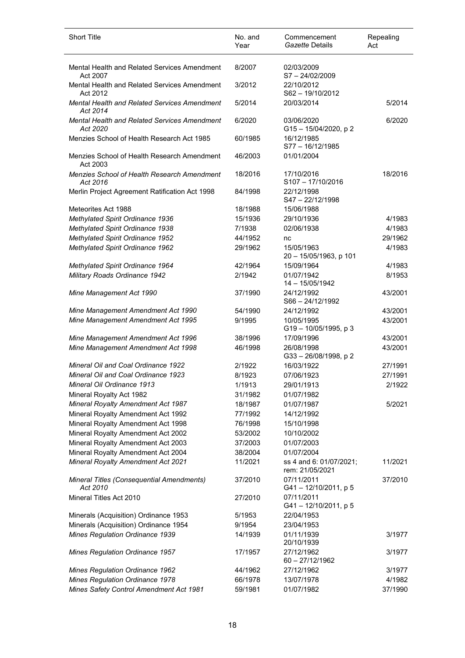| <b>Short Title</b>                                       | No. and<br>Year | Commencement<br>Gazette Details            | Repealing<br>Act |
|----------------------------------------------------------|-----------------|--------------------------------------------|------------------|
| Mental Health and Related Services Amendment<br>Act 2007 | 8/2007          | 02/03/2009<br>S7-24/02/2009                |                  |
| Mental Health and Related Services Amendment<br>Act 2012 | 3/2012          | 22/10/2012<br>S62-19/10/2012               |                  |
| Mental Health and Related Services Amendment<br>Act 2014 | 5/2014          | 20/03/2014                                 | 5/2014           |
| Mental Health and Related Services Amendment<br>Act 2020 | 6/2020          | 03/06/2020<br>G15-15/04/2020, p2           | 6/2020           |
| Menzies School of Health Research Act 1985               | 60/1985         | 16/12/1985<br>S77-16/12/1985               |                  |
| Menzies School of Health Research Amendment<br>Act 2003  | 46/2003         | 01/01/2004                                 |                  |
| Menzies School of Health Research Amendment<br>Act 2016  | 18/2016         | 17/10/2016<br>$S107 - 17/10/2016$          | 18/2016          |
| Merlin Project Agreement Ratification Act 1998           | 84/1998         | 22/12/1998<br>S47-22/12/1998               |                  |
| Meteorites Act 1988                                      | 18/1988         | 15/06/1988                                 |                  |
| Methylated Spirit Ordinance 1936                         | 15/1936         | 29/10/1936                                 | 4/1983           |
| Methylated Spirit Ordinance 1938                         | 7/1938          | 02/06/1938                                 | 4/1983           |
| Methylated Spirit Ordinance 1952                         | 44/1952         | nc                                         | 29/1962          |
| Methylated Spirit Ordinance 1962                         | 29/1962         | 15/05/1963<br>20 - 15/05/1963, p 101       | 4/1983           |
| Methylated Spirit Ordinance 1964                         | 42/1964         | 15/09/1964                                 | 4/1983           |
| Military Roads Ordinance 1942                            | 2/1942          | 01/07/1942<br>14 - 15/05/1942              | 8/1953           |
| Mine Management Act 1990                                 | 37/1990         | 24/12/1992<br>$S66 - 24/12/1992$           | 43/2001          |
| Mine Management Amendment Act 1990                       | 54/1990         | 24/12/1992                                 | 43/2001          |
| Mine Management Amendment Act 1995                       | 9/1995          | 10/05/1995<br>G19-10/05/1995, p 3          | 43/2001          |
| Mine Management Amendment Act 1996                       | 38/1996         | 17/09/1996                                 | 43/2001          |
| Mine Management Amendment Act 1998                       | 46/1998         | 26/08/1998<br>G33-26/08/1998, p2           | 43/2001          |
| <b>Mineral Oil and Coal Ordinance 1922</b>               | 2/1922          | 16/03/1922                                 | 27/1991          |
| <b>Mineral Oil and Coal Ordinance 1923</b>               | 8/1923          | 07/06/1923                                 | 27/1991          |
| Mineral Oil Ordinance 1913                               | 1/1913          | 29/01/1913                                 | 2/1922           |
| Mineral Royalty Act 1982                                 | 31/1982         | 01/07/1982                                 |                  |
| Mineral Royalty Amendment Act 1987                       | 18/1987         | 01/07/1987                                 | 5/2021           |
| Mineral Royalty Amendment Act 1992                       | 77/1992         | 14/12/1992                                 |                  |
| Mineral Royalty Amendment Act 1998                       | 76/1998         | 15/10/1998                                 |                  |
| Mineral Royalty Amendment Act 2002                       | 53/2002         | 10/10/2002                                 |                  |
| Mineral Royalty Amendment Act 2003                       | 37/2003         | 01/07/2003                                 |                  |
| Mineral Royalty Amendment Act 2004                       | 38/2004         | 01/07/2004                                 |                  |
| <b>Mineral Royalty Amendment Act 2021</b>                | 11/2021         | ss 4 and 6: 01/07/2021;<br>rem: 21/05/2021 | 11/2021          |
| Mineral Titles (Consequential Amendments)<br>Act 2010    | 37/2010         | 07/11/2011<br>G41-12/10/2011, p 5          | 37/2010          |
| Mineral Titles Act 2010                                  | 27/2010         | 07/11/2011<br>G41-12/10/2011, p 5          |                  |
| Minerals (Acquisition) Ordinance 1953                    | 5/1953          | 22/04/1953                                 |                  |
| Minerals (Acquisition) Ordinance 1954                    | 9/1954          | 23/04/1953                                 |                  |
| Mines Regulation Ordinance 1939                          | 14/1939         | 01/11/1939<br>20/10/1939                   | 3/1977           |
| Mines Regulation Ordinance 1957                          | 17/1957         | 27/12/1962<br>60 - 27/12/1962              | 3/1977           |
| <b>Mines Regulation Ordinance 1962</b>                   | 44/1962         | 27/12/1962                                 | 3/1977           |
| Mines Regulation Ordinance 1978                          | 66/1978         | 13/07/1978                                 | 4/1982           |
| Mines Safety Control Amendment Act 1981                  | 59/1981         | 01/07/1982                                 | 37/1990          |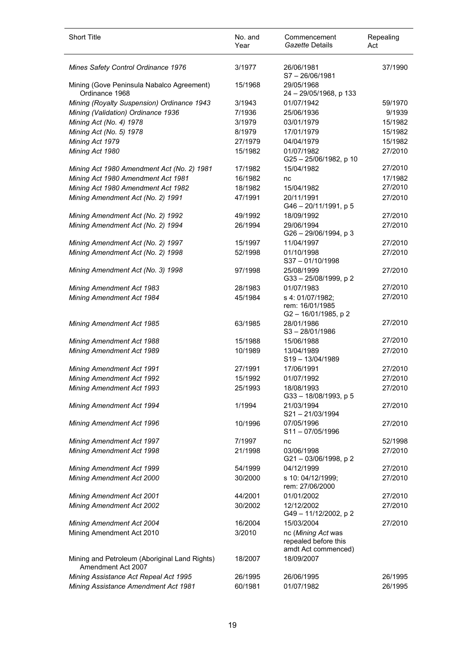| Short Title                                                         | No. and<br>Year | Commencement<br>Gazette Details                                   | Repealing<br>Act |
|---------------------------------------------------------------------|-----------------|-------------------------------------------------------------------|------------------|
| <b>Mines Safety Control Ordinance 1976</b>                          | 3/1977          | 26/06/1981<br>$S7 - 26/06/1981$                                   | 37/1990          |
| Mining (Gove Peninsula Nabalco Agreement)<br>Ordinance 1968         | 15/1968         | 29/05/1968<br>24 - 29/05/1968, p 133                              |                  |
| Mining (Royalty Suspension) Ordinance 1943                          | 3/1943          | 01/07/1942                                                        | 59/1970          |
| Mining (Validation) Ordinance 1936                                  | 7/1936          | 25/06/1936                                                        | 9/1939           |
| Mining Act (No. 4) 1978                                             | 3/1979          | 03/01/1979                                                        | 15/1982          |
| Mining Act (No. 5) 1978                                             | 8/1979          | 17/01/1979                                                        | 15/1982          |
| Mining Act 1979                                                     | 27/1979         | 04/04/1979                                                        | 15/1982          |
| Mining Act 1980                                                     | 15/1982         | 01/07/1982<br>G25-25/06/1982, p 10                                | 27/2010          |
| Mining Act 1980 Amendment Act (No. 2) 1981                          | 17/1982         | 15/04/1982                                                        | 27/2010          |
| Mining Act 1980 Amendment Act 1981                                  | 16/1982         | nc                                                                | 17/1982          |
| Mining Act 1980 Amendment Act 1982                                  | 18/1982         | 15/04/1982                                                        | 27/2010          |
| Mining Amendment Act (No. 2) 1991                                   | 47/1991         | 20/11/1991<br>G46 - 20/11/1991, p 5                               | 27/2010          |
| Mining Amendment Act (No. 2) 1992                                   | 49/1992         | 18/09/1992                                                        | 27/2010          |
| Mining Amendment Act (No. 2) 1994                                   | 26/1994         | 29/06/1994<br>$G26 - 29/06/1994$ , p 3                            | 27/2010          |
| Mining Amendment Act (No. 2) 1997                                   | 15/1997         | 11/04/1997                                                        | 27/2010          |
| Mining Amendment Act (No. 2) 1998                                   | 52/1998         | 01/10/1998<br>$S37 - 01/10/1998$                                  | 27/2010          |
| Mining Amendment Act (No. 3) 1998                                   | 97/1998         | 25/08/1999<br>G33-25/08/1999, p2                                  | 27/2010          |
| <b>Mining Amendment Act 1983</b>                                    | 28/1983         | 01/07/1983                                                        | 27/2010          |
| Mining Amendment Act 1984                                           | 45/1984         | s 4: 01/07/1982;<br>rem: 16/01/1985<br>$G2 - 16/01/1985$ , p 2    | 27/2010          |
| Mining Amendment Act 1985                                           | 63/1985         | 28/01/1986<br>$S3 - 28/01/1986$                                   | 27/2010          |
| Mining Amendment Act 1988                                           | 15/1988         | 15/06/1988                                                        | 27/2010          |
| Mining Amendment Act 1989                                           | 10/1989         | 13/04/1989<br>S19-13/04/1989                                      | 27/2010          |
| Mining Amendment Act 1991                                           | 27/1991         | 17/06/1991                                                        | 27/2010          |
| <b>Mining Amendment Act 1992</b>                                    | 15/1992         | 01/07/1992                                                        | 27/2010          |
| <b>Mining Amendment Act 1993</b>                                    | 25/1993         | 18/08/1993<br>G33-18/08/1993, p 5                                 | 27/2010          |
| Mining Amendment Act 1994                                           | 1/1994          | 21/03/1994<br>S21-21/03/1994                                      | 27/2010          |
| Mining Amendment Act 1996                                           | 10/1996         | 07/05/1996<br>$S11 - 07/05/1996$                                  | 27/2010          |
| <b>Mining Amendment Act 1997</b>                                    | 7/1997          | nc                                                                | 52/1998          |
| Mining Amendment Act 1998                                           | 21/1998         | 03/06/1998<br>G21-03/06/1998, p2                                  | 27/2010          |
| Mining Amendment Act 1999                                           | 54/1999         | 04/12/1999                                                        | 27/2010          |
| Mining Amendment Act 2000                                           | 30/2000         | s 10: 04/12/1999;<br>rem: 27/06/2000                              | 27/2010          |
| <b>Mining Amendment Act 2001</b>                                    | 44/2001         | 01/01/2002                                                        | 27/2010          |
| Mining Amendment Act 2002                                           | 30/2002         | 12/12/2002<br>G49-11/12/2002, p2                                  | 27/2010          |
| Mining Amendment Act 2004                                           | 16/2004         | 15/03/2004                                                        | 27/2010          |
| Mining Amendment Act 2010                                           | 3/2010          | nc (Mining Act was<br>repealed before this<br>amdt Act commenced) |                  |
| Mining and Petroleum (Aboriginal Land Rights)<br>Amendment Act 2007 | 18/2007         | 18/09/2007                                                        |                  |
| Mining Assistance Act Repeal Act 1995                               | 26/1995         | 26/06/1995                                                        | 26/1995          |
| Mining Assistance Amendment Act 1981                                | 60/1981         | 01/07/1982                                                        | 26/1995          |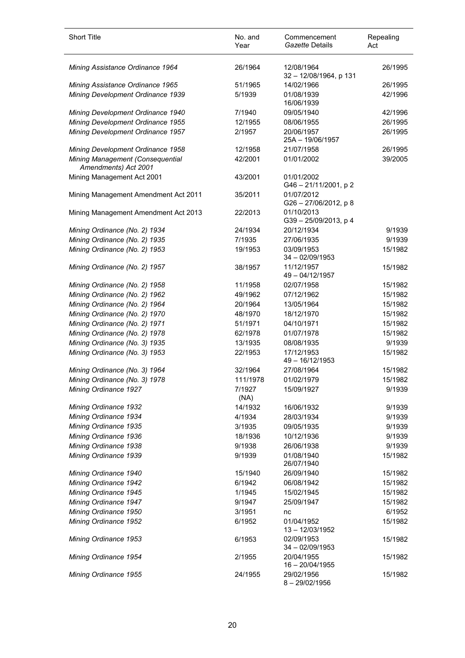| <b>Short Title</b>                                       | No. and<br>Year    | Commencement<br>Gazette Details      | Repealing<br>Act  |
|----------------------------------------------------------|--------------------|--------------------------------------|-------------------|
| Mining Assistance Ordinance 1964                         | 26/1964            | 12/08/1964<br>32 - 12/08/1964, p 131 | 26/1995           |
| Mining Assistance Ordinance 1965                         | 51/1965            | 14/02/1966                           | 26/1995           |
| Mining Development Ordinance 1939                        | 5/1939             | 01/08/1939<br>16/06/1939             | 42/1996           |
| Mining Development Ordinance 1940                        | 7/1940             | 09/05/1940                           | 42/1996           |
| Mining Development Ordinance 1955                        | 12/1955            | 08/06/1955                           | 26/1995           |
| Mining Development Ordinance 1957                        | 2/1957             | 20/06/1957<br>25A - 19/06/1957       | 26/1995           |
| Mining Development Ordinance 1958                        | 12/1958            | 21/07/1958                           | 26/1995           |
| Mining Management (Consequential<br>Amendments) Act 2001 | 42/2001            | 01/01/2002                           | 39/2005           |
| Mining Management Act 2001                               | 43/2001            | 01/01/2002<br>G46-21/11/2001, p2     |                   |
| Mining Management Amendment Act 2011                     | 35/2011            | 01/07/2012<br>G26-27/06/2012, p8     |                   |
| Mining Management Amendment Act 2013                     | 22/2013            | 01/10/2013<br>G39-25/09/2013, p4     |                   |
| Mining Ordinance (No. 2) 1934                            | 24/1934            | 20/12/1934                           | 9/1939            |
| Mining Ordinance (No. 2) 1935                            | 7/1935             | 27/06/1935                           | 9/1939            |
| Mining Ordinance (No. 2) 1953                            | 19/1953            | 03/09/1953<br>$34 - 02/09/1953$      | 15/1982           |
| Mining Ordinance (No. 2) 1957                            | 38/1957            | 11/12/1957<br>49 - 04/12/1957        | 15/1982           |
| Mining Ordinance (No. 2) 1958                            | 11/1958            | 02/07/1958                           | 15/1982           |
| Mining Ordinance (No. 2) 1962                            | 49/1962            | 07/12/1962                           | 15/1982           |
| Mining Ordinance (No. 2) 1964                            | 20/1964            | 13/05/1964                           | 15/1982           |
| Mining Ordinance (No. 2) 1970                            | 48/1970            | 18/12/1970                           | 15/1982           |
| Mining Ordinance (No. 2) 1971                            | 51/1971            | 04/10/1971                           | 15/1982           |
| Mining Ordinance (No. 2) 1978                            | 62/1978            | 01/07/1978                           | 15/1982           |
| Mining Ordinance (No. 3) 1935                            | 13/1935            | 08/08/1935                           | 9/1939            |
| Mining Ordinance (No. 3) 1953                            | 22/1953            | 17/12/1953<br>49 - 16/12/1953        | 15/1982           |
| Mining Ordinance (No. 3) 1964                            | 32/1964            | 27/08/1964                           | 15/1982           |
| Mining Ordinance (No. 3) 1978<br>Mining Ordinance 1927   | 111/1978<br>7/1927 | 01/02/1979<br>15/09/1927             | 15/1982<br>9/1939 |
|                                                          | (NA)               |                                      |                   |
| Mining Ordinance 1932<br>Mining Ordinance 1934           | 14/1932<br>4/1934  | 16/06/1932<br>28/03/1934             | 9/1939<br>9/1939  |
| Mining Ordinance 1935                                    | 3/1935             | 09/05/1935                           | 9/1939            |
| Mining Ordinance 1936                                    | 18/1936            | 10/12/1936                           | 9/1939            |
| Mining Ordinance 1938                                    | 9/1938             | 26/06/1938                           | 9/1939            |
| Mining Ordinance 1939                                    | 9/1939             | 01/08/1940<br>26/07/1940             | 15/1982           |
| Mining Ordinance 1940                                    | 15/1940            | 26/09/1940                           | 15/1982           |
| Mining Ordinance 1942                                    | 6/1942             | 06/08/1942                           | 15/1982           |
| Mining Ordinance 1945                                    | 1/1945             | 15/02/1945                           | 15/1982           |
| Mining Ordinance 1947                                    | 9/1947             | 25/09/1947                           | 15/1982           |
| Mining Ordinance 1950                                    | 3/1951             | nc                                   | 6/1952            |
| Mining Ordinance 1952                                    | 6/1952             | 01/04/1952<br>13 - 12/03/1952        | 15/1982           |
| Mining Ordinance 1953                                    | 6/1953             | 02/09/1953<br>34 - 02/09/1953        | 15/1982           |
| Mining Ordinance 1954                                    | 2/1955             | 20/04/1955<br>16 - 20/04/1955        | 15/1982           |
| Mining Ordinance 1955                                    | 24/1955            | 29/02/1956<br>$8 - 29/02/1956$       | 15/1982           |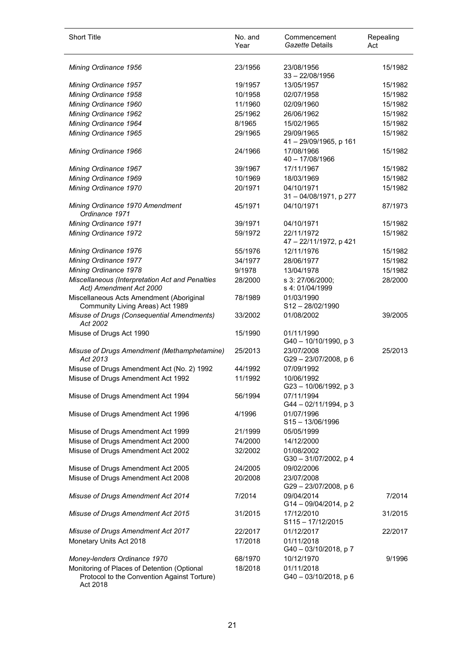| <b>Short Title</b>                                                                                     | No. and<br>Year | Commencement<br>Gazette Details        | Repealing<br>Act |
|--------------------------------------------------------------------------------------------------------|-----------------|----------------------------------------|------------------|
| Mining Ordinance 1956                                                                                  | 23/1956         | 23/08/1956<br>$33 - 22/08/1956$        | 15/1982          |
| Mining Ordinance 1957                                                                                  | 19/1957         | 13/05/1957                             | 15/1982          |
| Mining Ordinance 1958                                                                                  | 10/1958         | 02/07/1958                             | 15/1982          |
| Mining Ordinance 1960                                                                                  | 11/1960         | 02/09/1960                             | 15/1982          |
| Mining Ordinance 1962                                                                                  | 25/1962         | 26/06/1962                             | 15/1982          |
| Mining Ordinance 1964                                                                                  | 8/1965          | 15/02/1965                             | 15/1982          |
| Mining Ordinance 1965                                                                                  | 29/1965         | 29/09/1965<br>41 - 29/09/1965, p 161   | 15/1982          |
| Mining Ordinance 1966                                                                                  | 24/1966         | 17/08/1966<br>40 - 17/08/1966          | 15/1982          |
| Mining Ordinance 1967                                                                                  | 39/1967         | 17/11/1967                             | 15/1982          |
| Mining Ordinance 1969                                                                                  | 10/1969         | 18/03/1969                             | 15/1982          |
| Mining Ordinance 1970                                                                                  | 20/1971         | 04/10/1971<br>31 - 04/08/1971, p 277   | 15/1982          |
| Mining Ordinance 1970 Amendment<br>Ordinance 1971                                                      | 45/1971         | 04/10/1971                             | 87/1973          |
| Mining Ordinance 1971                                                                                  | 39/1971         | 04/10/1971                             | 15/1982          |
| Mining Ordinance 1972                                                                                  | 59/1972         | 22/11/1972<br>47 - 22/11/1972, p 421   | 15/1982          |
| Mining Ordinance 1976                                                                                  | 55/1976         | 12/11/1976                             | 15/1982          |
| Mining Ordinance 1977                                                                                  | 34/1977         | 28/06/1977                             | 15/1982          |
| Mining Ordinance 1978                                                                                  | 9/1978          | 13/04/1978                             | 15/1982          |
| Miscellaneous (Interpretation Act and Penalties<br>Act) Amendment Act 2000                             | 28/2000         | s 3: 27/06/2000;<br>s 4: 01/04/1999    | 28/2000          |
| Miscellaneous Acts Amendment (Aboriginal<br>Community Living Areas) Act 1989                           | 78/1989         | 01/03/1990<br>S12-28/02/1990           |                  |
| Misuse of Drugs (Consequential Amendments)<br>Act 2002                                                 | 33/2002         | 01/08/2002                             | 39/2005          |
| Misuse of Drugs Act 1990                                                                               | 15/1990         | 01/11/1990<br>G40 - 10/10/1990, p 3    |                  |
| Misuse of Drugs Amendment (Methamphetamine)<br>Act 2013                                                | 25/2013         | 23/07/2008<br>G29-23/07/2008, p 6      | 25/2013          |
| Misuse of Drugs Amendment Act (No. 2) 1992                                                             | 44/1992         | 07/09/1992                             |                  |
| Misuse of Drugs Amendment Act 1992                                                                     | 11/1992         | 10/06/1992<br>G23-10/06/1992, p3       |                  |
| Misuse of Drugs Amendment Act 1994                                                                     | 56/1994         | 07/11/1994<br>G44 - 02/11/1994, p 3    |                  |
| Misuse of Drugs Amendment Act 1996                                                                     | 4/1996          | 01/07/1996<br>$S15 - 13/06/1996$       |                  |
| Misuse of Drugs Amendment Act 1999                                                                     | 21/1999         | 05/05/1999                             |                  |
| Misuse of Drugs Amendment Act 2000                                                                     | 74/2000         | 14/12/2000                             |                  |
| Misuse of Drugs Amendment Act 2002                                                                     | 32/2002         | 01/08/2002<br>G30-31/07/2002, p 4      |                  |
| Misuse of Drugs Amendment Act 2005                                                                     | 24/2005         | 09/02/2006                             |                  |
| Misuse of Drugs Amendment Act 2008                                                                     | 20/2008         | 23/07/2008<br>G29-23/07/2008, p 6      |                  |
| Misuse of Drugs Amendment Act 2014                                                                     | 7/2014          | 09/04/2014<br>G14-09/04/2014, p2       | 7/2014           |
| Misuse of Drugs Amendment Act 2015                                                                     | 31/2015         | 17/12/2010<br>$S115 - 17/12/2015$      | 31/2015          |
| Misuse of Drugs Amendment Act 2017                                                                     | 22/2017         | 01/12/2017                             | 22/2017          |
| Monetary Units Act 2018                                                                                | 17/2018         | 01/11/2018<br>G40 - 03/10/2018, p 7    |                  |
| Money-lenders Ordinance 1970                                                                           | 68/1970         | 10/12/1970                             | 9/1996           |
| Monitoring of Places of Detention (Optional<br>Protocol to the Convention Against Torture)<br>Act 2018 | 18/2018         | 01/11/2018<br>$G40 - 03/10/2018$ , p 6 |                  |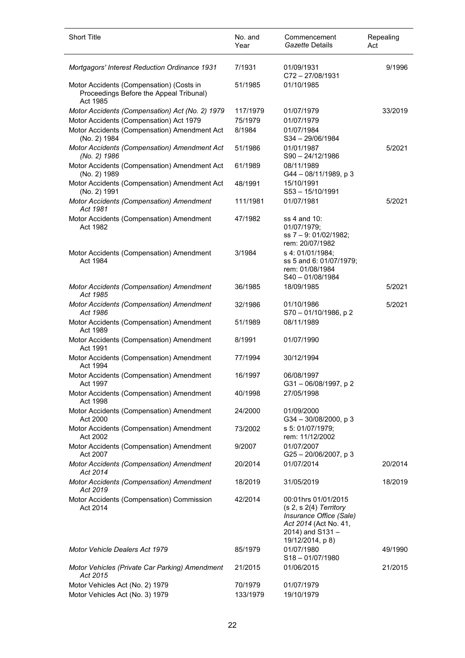| <b>Short Title</b>                                                                              | No. and<br>Year     | Commencement<br>Gazette Details                                                                                                            | Repealing<br>Act |
|-------------------------------------------------------------------------------------------------|---------------------|--------------------------------------------------------------------------------------------------------------------------------------------|------------------|
| Mortgagors' Interest Reduction Ordinance 1931                                                   | 7/1931              | 01/09/1931<br>C72-27/08/1931                                                                                                               | 9/1996           |
| Motor Accidents (Compensation) (Costs in<br>Proceedings Before the Appeal Tribunal)<br>Act 1985 | 51/1985             | 01/10/1985                                                                                                                                 |                  |
| Motor Accidents (Compensation) Act (No. 2) 1979                                                 | 117/1979            | 01/07/1979                                                                                                                                 | 33/2019          |
| Motor Accidents (Compensation) Act 1979                                                         | 75/1979             | 01/07/1979                                                                                                                                 |                  |
| Motor Accidents (Compensation) Amendment Act<br>(No. 2) 1984                                    | 8/1984              | 01/07/1984<br>S34-29/06/1984                                                                                                               |                  |
| Motor Accidents (Compensation) Amendment Act<br>(No. 2) 1986                                    | 51/1986             | 01/01/1987<br>$S90 - 24/12/1986$                                                                                                           | 5/2021           |
| Motor Accidents (Compensation) Amendment Act<br>(No. 2) 1989                                    | 61/1989             | 08/11/1989<br>G44 - 08/11/1989, p 3                                                                                                        |                  |
| Motor Accidents (Compensation) Amendment Act<br>(No. 2) 1991                                    | 48/1991             | 15/10/1991<br>S53-15/10/1991                                                                                                               |                  |
| Motor Accidents (Compensation) Amendment<br>Act 1981                                            | 111/1981            | 01/07/1981                                                                                                                                 | 5/2021           |
| Motor Accidents (Compensation) Amendment<br>Act 1982                                            | 47/1982             | ss 4 and 10:<br>01/07/1979;<br>ss 7 - 9: 01/02/1982;<br>rem: 20/07/1982                                                                    |                  |
| Motor Accidents (Compensation) Amendment<br>Act 1984                                            | 3/1984              | s 4: 01/01/1984;<br>ss 5 and 6: 01/07/1979;<br>rem: 01/08/1984<br>S40-01/08/1984                                                           |                  |
| Motor Accidents (Compensation) Amendment<br>Act 1985                                            | 36/1985             | 18/09/1985                                                                                                                                 | 5/2021           |
| Motor Accidents (Compensation) Amendment<br>Act 1986                                            | 32/1986             | 01/10/1986<br>S70-01/10/1986, p2                                                                                                           | 5/2021           |
| Motor Accidents (Compensation) Amendment<br>Act 1989                                            | 51/1989             | 08/11/1989                                                                                                                                 |                  |
| Motor Accidents (Compensation) Amendment<br>Act 1991                                            | 8/1991              | 01/07/1990                                                                                                                                 |                  |
| Motor Accidents (Compensation) Amendment<br>Act 1994                                            | 77/1994             | 30/12/1994                                                                                                                                 |                  |
| Motor Accidents (Compensation) Amendment<br>Act 1997                                            | 16/1997             | 06/08/1997<br>G31-06/08/1997, p2                                                                                                           |                  |
| Motor Accidents (Compensation) Amendment<br>Act 1998                                            | 40/1998             | 27/05/1998                                                                                                                                 |                  |
| Motor Accidents (Compensation) Amendment<br>Act 2000                                            | 24/2000             | 01/09/2000<br>$G34 - 30/08/2000$ , p 3                                                                                                     |                  |
| Motor Accidents (Compensation) Amendment<br>Act 2002                                            | 73/2002             | s 5: 01/07/1979;<br>rem: 11/12/2002                                                                                                        |                  |
| Motor Accidents (Compensation) Amendment<br>Act 2007                                            | 9/2007              | 01/07/2007<br>G25-20/06/2007, p3                                                                                                           |                  |
| Motor Accidents (Compensation) Amendment<br>Act 2014                                            | 20/2014             | 01/07/2014                                                                                                                                 | 20/2014          |
| Motor Accidents (Compensation) Amendment<br>Act 2019                                            | 18/2019             | 31/05/2019                                                                                                                                 | 18/2019          |
| Motor Accidents (Compensation) Commission<br>Act 2014                                           | 42/2014             | 00:01hrs 01/01/2015<br>$(s 2, s 2(4)$ Territory<br>Insurance Office (Sale)<br>Act 2014 (Act No. 41,<br>2014) and S131-<br>19/12/2014, p 8) |                  |
| Motor Vehicle Dealers Act 1979                                                                  | 85/1979             | 01/07/1980<br>$S18 - 01/07/1980$                                                                                                           | 49/1990          |
| Motor Vehicles (Private Car Parking) Amendment<br>Act 2015                                      | 21/2015             | 01/06/2015                                                                                                                                 | 21/2015          |
| Motor Vehicles Act (No. 2) 1979<br>Motor Vehicles Act (No. 3) 1979                              | 70/1979<br>133/1979 | 01/07/1979<br>19/10/1979                                                                                                                   |                  |

l.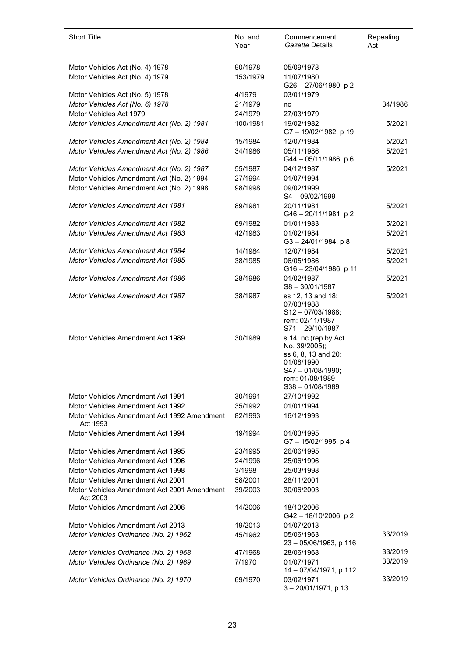| <b>Short Title</b>                                      | No. and<br>Year | Commencement<br>Gazette Details                                                                                                        | Repealing<br>Act |
|---------------------------------------------------------|-----------------|----------------------------------------------------------------------------------------------------------------------------------------|------------------|
| Motor Vehicles Act (No. 4) 1978                         | 90/1978         | 05/09/1978                                                                                                                             |                  |
| Motor Vehicles Act (No. 4) 1979                         | 153/1979        | 11/07/1980<br>G26-27/06/1980, p2                                                                                                       |                  |
| Motor Vehicles Act (No. 5) 1978                         | 4/1979          | 03/01/1979                                                                                                                             |                  |
| Motor Vehicles Act (No. 6) 1978                         | 21/1979         | nc                                                                                                                                     | 34/1986          |
| Motor Vehicles Act 1979                                 | 24/1979         | 27/03/1979                                                                                                                             |                  |
| Motor Vehicles Amendment Act (No. 2) 1981               | 100/1981        | 19/02/1982<br>G7-19/02/1982, p 19                                                                                                      | 5/2021           |
| Motor Vehicles Amendment Act (No. 2) 1984               | 15/1984         | 12/07/1984                                                                                                                             | 5/2021           |
| Motor Vehicles Amendment Act (No. 2) 1986               | 34/1986         | 05/11/1986<br>G44-05/11/1986, p6                                                                                                       | 5/2021           |
| Motor Vehicles Amendment Act (No. 2) 1987               | 55/1987         | 04/12/1987                                                                                                                             | 5/2021           |
| Motor Vehicles Amendment Act (No. 2) 1994               | 27/1994         | 01/07/1994                                                                                                                             |                  |
| Motor Vehicles Amendment Act (No. 2) 1998               | 98/1998         | 09/02/1999<br>S4-09/02/1999                                                                                                            |                  |
| <b>Motor Vehicles Amendment Act 1981</b>                | 89/1981         | 20/11/1981<br>G46 - 20/11/1981, p 2                                                                                                    | 5/2021           |
| <b>Motor Vehicles Amendment Act 1982</b>                | 69/1982         | 01/01/1983                                                                                                                             | 5/2021           |
| <b>Motor Vehicles Amendment Act 1983</b>                | 42/1983         | 01/02/1984<br>$G3 - 24/01/1984$ , p 8                                                                                                  | 5/2021           |
| <b>Motor Vehicles Amendment Act 1984</b>                | 14/1984         | 12/07/1984                                                                                                                             | 5/2021           |
| <b>Motor Vehicles Amendment Act 1985</b>                | 38/1985         | 06/05/1986<br>G16-23/04/1986, p 11                                                                                                     | 5/2021           |
| <b>Motor Vehicles Amendment Act 1986</b>                | 28/1986         | 01/02/1987<br>$S8 - 30/01/1987$                                                                                                        | 5/2021           |
| <b>Motor Vehicles Amendment Act 1987</b>                | 38/1987         | ss 12, 13 and 18:<br>07/03/1988<br>$S12 - 07/03/1988;$<br>rem: 02/11/1987<br>$S71 - 29/10/1987$                                        | 5/2021           |
| Motor Vehicles Amendment Act 1989                       | 30/1989         | s 14: nc (rep by Act<br>No. 39/2005);<br>ss 6, 8, 13 and 20:<br>01/08/1990<br>S47-01/08/1990;<br>rem: 01/08/1989<br>$S38 - 01/08/1989$ |                  |
| Motor Vehicles Amendment Act 1991                       | 30/1991         | 27/10/1992                                                                                                                             |                  |
| Motor Vehicles Amendment Act 1992                       | 35/1992         | 01/01/1994                                                                                                                             |                  |
| Motor Vehicles Amendment Act 1992 Amendment<br>Act 1993 | 82/1993         | 16/12/1993                                                                                                                             |                  |
| Motor Vehicles Amendment Act 1994                       | 19/1994         | 01/03/1995<br>G7-15/02/1995, p4                                                                                                        |                  |
| Motor Vehicles Amendment Act 1995                       | 23/1995         | 26/06/1995                                                                                                                             |                  |
| Motor Vehicles Amendment Act 1996                       | 24/1996         | 25/06/1996                                                                                                                             |                  |
| Motor Vehicles Amendment Act 1998                       | 3/1998          | 25/03/1998                                                                                                                             |                  |
| Motor Vehicles Amendment Act 2001                       | 58/2001         | 28/11/2001                                                                                                                             |                  |
| Motor Vehicles Amendment Act 2001 Amendment<br>Act 2003 | 39/2003         | 30/06/2003                                                                                                                             |                  |
| Motor Vehicles Amendment Act 2006                       | 14/2006         | 18/10/2006<br>G42-18/10/2006, p2                                                                                                       |                  |
| Motor Vehicles Amendment Act 2013                       | 19/2013         | 01/07/2013                                                                                                                             |                  |
| Motor Vehicles Ordinance (No. 2) 1962                   | 45/1962         | 05/06/1963<br>23 - 05/06/1963, p 116                                                                                                   | 33/2019          |
| Motor Vehicles Ordinance (No. 2) 1968                   | 47/1968         | 28/06/1968                                                                                                                             | 33/2019          |
| Motor Vehicles Ordinance (No. 2) 1969                   | 7/1970          | 01/07/1971<br>14 - 07/04/1971, p 112                                                                                                   | 33/2019          |
| Motor Vehicles Ordinance (No. 2) 1970                   | 69/1970         | 03/02/1971<br>3-20/01/1971, p 13                                                                                                       | 33/2019          |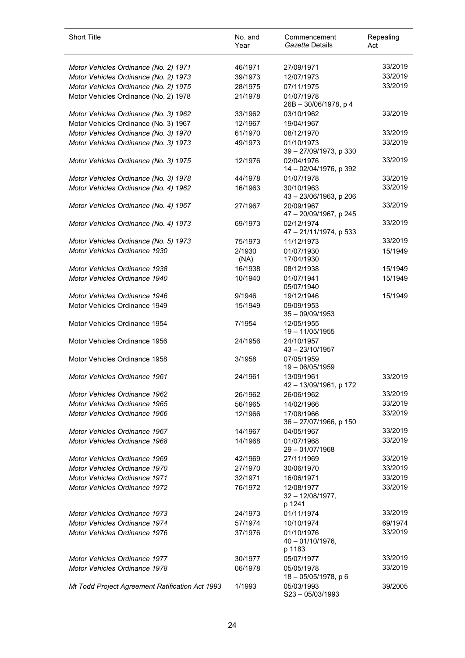| <b>Short Title</b>                                                    | No. and<br>Year | Commencement<br>Gazette Details             | Repealing<br>Act   |
|-----------------------------------------------------------------------|-----------------|---------------------------------------------|--------------------|
| Motor Vehicles Ordinance (No. 2) 1971                                 | 46/1971         | 27/09/1971                                  | 33/2019            |
| Motor Vehicles Ordinance (No. 2) 1973                                 | 39/1973         | 12/07/1973                                  | 33/2019            |
| Motor Vehicles Ordinance (No. 2) 1975                                 | 28/1975         | 07/11/1975                                  | 33/2019            |
| Motor Vehicles Ordinance (No. 2) 1978                                 | 21/1978         | 01/07/1978<br>26B - 30/06/1978, p 4         |                    |
| Motor Vehicles Ordinance (No. 3) 1962                                 | 33/1962         | 03/10/1962                                  | 33/2019            |
| Motor Vehicles Ordinance (No. 3) 1967                                 | 12/1967         | 19/04/1967                                  |                    |
| Motor Vehicles Ordinance (No. 3) 1970                                 | 61/1970         | 08/12/1970                                  | 33/2019            |
| Motor Vehicles Ordinance (No. 3) 1973                                 | 49/1973         | 01/10/1973<br>39 - 27/09/1973, p 330        | 33/2019            |
| Motor Vehicles Ordinance (No. 3) 1975                                 | 12/1976         | 02/04/1976<br>14 - 02/04/1976, p 392        | 33/2019            |
| Motor Vehicles Ordinance (No. 3) 1978                                 | 44/1978         | 01/07/1978                                  | 33/2019            |
| Motor Vehicles Ordinance (No. 4) 1962                                 | 16/1963         | 30/10/1963<br>43 - 23/06/1963, p 206        | 33/2019            |
| Motor Vehicles Ordinance (No. 4) 1967                                 | 27/1967         | 20/09/1967<br>47 - 20/09/1967, p 245        | 33/2019            |
| Motor Vehicles Ordinance (No. 4) 1973                                 | 69/1973         | 02/12/1974<br>47 - 21/11/1974, p 533        | 33/2019            |
| Motor Vehicles Ordinance (No. 5) 1973                                 | 75/1973         | 11/12/1973                                  | 33/2019            |
| Motor Vehicles Ordinance 1930                                         | 2/1930<br>(NA)  | 01/07/1930<br>17/04/1930                    | 15/1949            |
| Motor Vehicles Ordinance 1938                                         | 16/1938         | 08/12/1938                                  | 15/1949            |
| Motor Vehicles Ordinance 1940                                         | 10/1940         | 01/07/1941<br>05/07/1940                    | 15/1949            |
| Motor Vehicles Ordinance 1946                                         | 9/1946          | 19/12/1946                                  | 15/1949            |
| Motor Vehicles Ordinance 1949                                         | 15/1949         | 09/09/1953<br>$35 - 09/09/1953$             |                    |
| Motor Vehicles Ordinance 1954                                         | 7/1954          | 12/05/1955<br>19 - 11/05/1955               |                    |
| Motor Vehicles Ordinance 1956                                         | 24/1956         | 24/10/1957<br>$43 - 23/10/1957$             |                    |
| Motor Vehicles Ordinance 1958                                         | 3/1958          | 07/05/1959<br>19 - 06/05/1959               |                    |
| Motor Vehicles Ordinance 1961                                         | 24/1961         | 13/09/1961<br>42 - 13/09/1961, p 172        | 33/2019            |
| Motor Vehicles Ordinance 1962                                         | 26/1962         | 26/06/1962                                  | 33/2019            |
| <b>Motor Vehicles Ordinance 1965</b>                                  | 56/1965         | 14/02/1966                                  | 33/2019            |
| Motor Vehicles Ordinance 1966                                         | 12/1966         | 17/08/1966<br>36 - 27/07/1966, p 150        | 33/2019<br>33/2019 |
| <b>Motor Vehicles Ordinance 1967</b><br>Motor Vehicles Ordinance 1968 | 14/1967         | 04/05/1967                                  | 33/2019            |
|                                                                       | 14/1968         | 01/07/1968<br>29-01/07/1968                 | 33/2019            |
| Motor Vehicles Ordinance 1969                                         | 42/1969         | 27/11/1969<br>30/06/1970                    | 33/2019            |
| Motor Vehicles Ordinance 1970                                         | 27/1970         |                                             | 33/2019            |
| <b>Motor Vehicles Ordinance 1971</b>                                  | 32/1971         | 16/06/1971                                  | 33/2019            |
| <b>Motor Vehicles Ordinance 1972</b>                                  | 76/1972         | 12/08/1977<br>$32 - 12/08/1977$ ,<br>p 1241 |                    |
| <b>Motor Vehicles Ordinance 1973</b>                                  | 24/1973         | 01/11/1974                                  | 33/2019            |
| Motor Vehicles Ordinance 1974                                         | 57/1974         | 10/10/1974                                  | 69/1974            |
| Motor Vehicles Ordinance 1976                                         | 37/1976         | 01/10/1976<br>$40 - 01/10/1976$ ,<br>p 1183 | 33/2019            |
| <b>Motor Vehicles Ordinance 1977</b>                                  | 30/1977         | 05/07/1977                                  | 33/2019            |
| Motor Vehicles Ordinance 1978                                         | 06/1978         | 05/05/1978<br>$18 - 05/05/1978$ , p 6       | 33/2019            |
| Mt Todd Project Agreement Ratification Act 1993                       | 1/1993          | 05/03/1993<br>$S23 - 05/03/1993$            | 39/2005            |

l,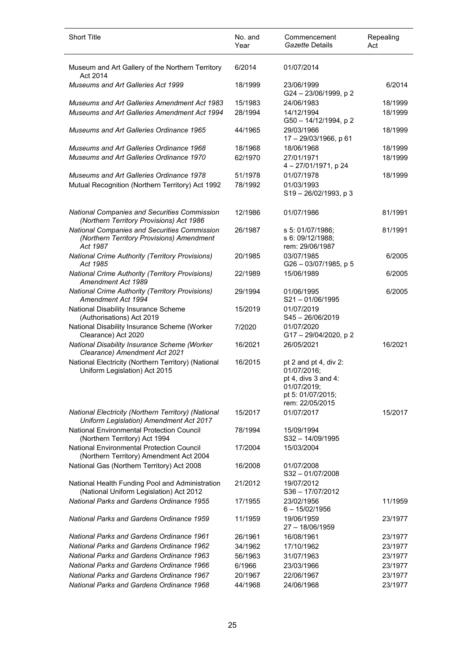| <b>Short Title</b>                                                                                    | No. and<br>Year | Commencement<br>Gazette Details                                                                                    | Repealing<br>Act |
|-------------------------------------------------------------------------------------------------------|-----------------|--------------------------------------------------------------------------------------------------------------------|------------------|
| Museum and Art Gallery of the Northern Territory<br>Act 2014                                          | 6/2014          | 01/07/2014                                                                                                         |                  |
| Museums and Art Galleries Act 1999                                                                    | 18/1999         | 23/06/1999<br>G24-23/06/1999, p2                                                                                   | 6/2014           |
| <b>Museums and Art Galleries Amendment Act 1983</b>                                                   | 15/1983         | 24/06/1983                                                                                                         | 18/1999          |
| Museums and Art Galleries Amendment Act 1994                                                          | 28/1994         | 14/12/1994<br>G50 - 14/12/1994, p 2                                                                                | 18/1999          |
| Museums and Art Galleries Ordinance 1965                                                              | 44/1965         | 29/03/1966<br>17 - 29/03/1966, p 61                                                                                | 18/1999          |
| Museums and Art Galleries Ordinance 1968                                                              | 18/1968         | 18/06/1968                                                                                                         | 18/1999          |
| Museums and Art Galleries Ordinance 1970                                                              | 62/1970         | 27/01/1971<br>4-27/01/1971, p 24                                                                                   | 18/1999          |
| <b>Museums and Art Galleries Ordinance 1978</b>                                                       | 51/1978         | 01/07/1978                                                                                                         | 18/1999          |
| Mutual Recognition (Northern Territory) Act 1992                                                      | 78/1992         | 01/03/1993<br>$S19 - 26/02/1993$ , p 3                                                                             |                  |
| <b>National Companies and Securities Commission</b><br>(Northern Territory Provisions) Act 1986       | 12/1986         | 01/07/1986                                                                                                         | 81/1991          |
| National Companies and Securities Commission<br>(Northern Territory Provisions) Amendment<br>Act 1987 | 26/1987         | s 5: 01/07/1986;<br>s 6: 09/12/1988;<br>rem: 29/06/1987                                                            | 81/1991          |
| <b>National Crime Authority (Territory Provisions)</b><br>Act 1985                                    | 20/1985         | 03/07/1985<br>G26 - 03/07/1985, p 5                                                                                | 6/2005           |
| <b>National Crime Authority (Territory Provisions)</b><br>Amendment Act 1989                          | 22/1989         | 15/06/1989                                                                                                         | 6/2005           |
| <b>National Crime Authority (Territory Provisions)</b><br>Amendment Act 1994                          | 29/1994         | 01/06/1995<br>$S21 - 01/06/1995$                                                                                   | 6/2005           |
| National Disability Insurance Scheme<br>(Authorisations) Act 2019                                     | 15/2019         | 01/07/2019<br>S45-26/06/2019                                                                                       |                  |
| National Disability Insurance Scheme (Worker<br>Clearance) Act 2020                                   | 7/2020          | 01/07/2020<br>G17-29/04/2020, p2                                                                                   |                  |
| National Disability Insurance Scheme (Worker<br>Clearance) Amendment Act 2021                         | 16/2021         | 26/05/2021                                                                                                         | 16/2021          |
| National Electricity (Northern Territory) (National<br>Uniform Legislation) Act 2015                  | 16/2015         | pt 2 and pt 4, div 2:<br>01/07/2016;<br>pt 4, divs 3 and 4:<br>01/07/2019;<br>pt 5: 01/07/2015;<br>rem: 22/05/2015 |                  |
| National Electricity (Northern Territory) (National<br>Uniform Legislation) Amendment Act 2017        | 15/2017         | 01/07/2017                                                                                                         | 15/2017          |
| <b>National Environmental Protection Council</b><br>(Northern Territory) Act 1994                     | 78/1994         | 15/09/1994<br>$S32 - 14/09/1995$                                                                                   |                  |
| National Environmental Protection Council<br>(Northern Territory) Amendment Act 2004                  | 17/2004         | 15/03/2004                                                                                                         |                  |
| National Gas (Northern Territory) Act 2008                                                            | 16/2008         | 01/07/2008<br>$S32 - 01/07/2008$                                                                                   |                  |
| National Health Funding Pool and Administration<br>(National Uniform Legislation) Act 2012            | 21/2012         | 19/07/2012<br>$S36 - 17/07/2012$                                                                                   |                  |
| <b>National Parks and Gardens Ordinance 1955</b>                                                      | 17/1955         | 23/02/1956<br>$6 - 15/02/1956$                                                                                     | 11/1959          |
| <b>National Parks and Gardens Ordinance 1959</b>                                                      | 11/1959         | 19/06/1959<br>27 - 18/06/1959                                                                                      | 23/1977          |
| <b>National Parks and Gardens Ordinance 1961</b>                                                      | 26/1961         | 16/08/1961                                                                                                         | 23/1977          |
| <b>National Parks and Gardens Ordinance 1962</b>                                                      | 34/1962         | 17/10/1962                                                                                                         | 23/1977          |
| <b>National Parks and Gardens Ordinance 1963</b>                                                      | 56/1963         | 31/07/1963                                                                                                         | 23/1977          |
| <b>National Parks and Gardens Ordinance 1966</b>                                                      | 6/1966          | 23/03/1966                                                                                                         | 23/1977          |
| <b>National Parks and Gardens Ordinance 1967</b>                                                      | 20/1967         | 22/06/1967                                                                                                         | 23/1977          |
| National Parks and Gardens Ordinance 1968                                                             | 44/1968         | 24/06/1968                                                                                                         | 23/1977          |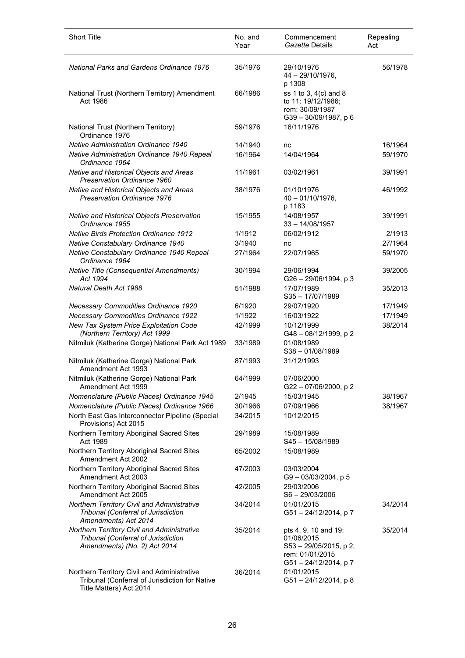| <b>Short Title</b>                                                                                                       | No. and<br>Year | Commencement<br>Gazette Details                                                                        | Repealing<br>Act |
|--------------------------------------------------------------------------------------------------------------------------|-----------------|--------------------------------------------------------------------------------------------------------|------------------|
| <b>National Parks and Gardens Ordinance 1976</b>                                                                         | 35/1976         | 29/10/1976<br>$44 - 29/10/1976$ ,<br>p 1308                                                            | 56/1978          |
| National Trust (Northern Territory) Amendment<br>Act 1986                                                                | 66/1986         | ss 1 to 3, 4(c) and 8<br>to 11: 19/12/1986;<br>rem: 30/09/1987<br>G39-30/09/1987, p 6                  |                  |
| National Trust (Northern Territory)<br>Ordinance 1976                                                                    | 59/1976         | 16/11/1976                                                                                             |                  |
| <b>Native Administration Ordinance 1940</b>                                                                              | 14/1940         | nc                                                                                                     | 16/1964          |
| Native Administration Ordinance 1940 Repeal<br>Ordinance 1964                                                            | 16/1964         | 14/04/1964                                                                                             | 59/1970          |
| Native and Historical Objects and Areas<br>Preservation Ordinance 1960                                                   | 11/1961         | 03/02/1961                                                                                             | 39/1991          |
| Native and Historical Objects and Areas<br>Preservation Ordinance 1976                                                   | 38/1976         | 01/10/1976<br>$40 - 01/10/1976$ ,<br>p 1183                                                            | 46/1992          |
| Native and Historical Objects Preservation<br>Ordinance 1955                                                             | 15/1955         | 14/08/1957<br>$33 - 14/08/1957$                                                                        | 39/1991          |
| <b>Native Birds Protection Ordinance 1912</b>                                                                            | 1/1912          | 06/02/1912                                                                                             | 2/1913           |
| Native Constabulary Ordinance 1940                                                                                       | 3/1940          | nc                                                                                                     | 27/1964          |
| Native Constabulary Ordinance 1940 Repeal<br>Ordinance 1964                                                              | 27/1964         | 22/07/1965                                                                                             | 59/1970          |
| Native Title (Consequential Amendments)<br>Act 1994                                                                      | 30/1994         | 29/06/1994<br>G26 - 29/06/1994, p 3                                                                    | 39/2005          |
| Natural Death Act 1988                                                                                                   | 51/1988         | 17/07/1989<br>$S35 - 17/07/1989$                                                                       | 35/2013          |
| Necessary Commodities Ordinance 1920                                                                                     | 6/1920          | 29/07/1920                                                                                             | 17/1949          |
| <b>Necessary Commodities Ordinance 1922</b>                                                                              | 1/1922          | 16/03/1922                                                                                             | 17/1949          |
| New Tax System Price Exploitation Code<br>(Northern Territory) Act 1999                                                  | 42/1999         | 10/12/1999<br>G48-08/12/1999, p2                                                                       | 38/2014          |
| Nitmiluk (Katherine Gorge) National Park Act 1989                                                                        | 33/1989         | 01/08/1989<br>$S38 - 01/08/1989$                                                                       |                  |
| Nitmiluk (Katherine Gorge) National Park<br>Amendment Act 1993                                                           | 87/1993         | 31/12/1993                                                                                             |                  |
| Nitmiluk (Katherine Gorge) National Park<br>Amendment Act 1999                                                           | 64/1999         | 07/06/2000<br>G22-07/06/2000, p2                                                                       |                  |
| Nomenclature (Public Places) Ordinance 1945                                                                              | 2/1945          | 15/03/1945                                                                                             | 38/1967          |
| Nomenclature (Public Places) Ordinance 1966                                                                              | 30/1966         | 07/09/1966                                                                                             | 38/1967          |
| North East Gas Interconnector Pipeline (Special<br>Provisions) Act 2015                                                  | 34/2015         | 10/12/2015                                                                                             |                  |
| Northern Territory Aboriginal Sacred Sites<br>Act 1989                                                                   | 29/1989         | 15/08/1989<br>S45-15/08/1989                                                                           |                  |
| Northern Territory Aboriginal Sacred Sites<br>Amendment Act 2002                                                         | 65/2002         | 15/08/1989                                                                                             |                  |
| Northern Territory Aboriginal Sacred Sites<br>Amendment Act 2003                                                         | 47/2003         | 03/03/2004<br>G9-03/03/2004, p5                                                                        |                  |
| Northern Territory Aboriginal Sacred Sites<br>Amendment Act 2005                                                         | 42/2005         | 29/03/2006<br>S6-29/03/2006                                                                            |                  |
| Northern Territory Civil and Administrative<br>Tribunal (Conferral of Jurisdiction<br>Amendments) Act 2014               | 34/2014         | 01/01/2015<br>G51-24/12/2014, p7                                                                       | 34/2014          |
| Northern Territory Civil and Administrative<br>Tribunal (Conferral of Jurisdiction<br>Amendments) (No. 2) Act 2014       | 35/2014         | pts 4, 9, 10 and 19:<br>01/06/2015<br>S53 - 29/05/2015, p 2;<br>rem: 01/01/2015<br>G51-24/12/2014, p 7 | 35/2014          |
| Northern Territory Civil and Administrative<br>Tribunal (Conferral of Jurisdiction for Native<br>Title Matters) Act 2014 | 36/2014         | 01/01/2015<br>G51-24/12/2014, p8                                                                       |                  |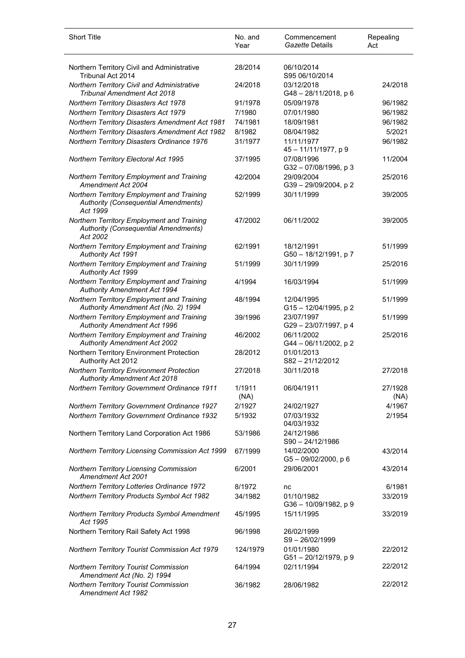| <b>Short Title</b>                                                                                    | No. and<br>Year | Commencement<br>Gazette Details     | Repealing<br>Act |
|-------------------------------------------------------------------------------------------------------|-----------------|-------------------------------------|------------------|
| Northern Territory Civil and Administrative<br>Tribunal Act 2014                                      | 28/2014         | 06/10/2014<br>S95 06/10/2014        |                  |
| Northern Territory Civil and Administrative<br><b>Tribunal Amendment Act 2018</b>                     | 24/2018         | 03/12/2018<br>G48-28/11/2018, p 6   | 24/2018          |
| Northern Territory Disasters Act 1978                                                                 | 91/1978         | 05/09/1978                          | 96/1982          |
| Northern Territory Disasters Act 1979                                                                 | 7/1980          | 07/01/1980                          | 96/1982          |
| Northern Territory Disasters Amendment Act 1981                                                       | 74/1981         | 18/09/1981                          | 96/1982          |
| Northern Territory Disasters Amendment Act 1982                                                       | 8/1982          | 08/04/1982                          | 5/2021           |
| Northern Territory Disasters Ordinance 1976                                                           | 31/1977         | 11/11/1977<br>45-11/11/1977, p 9    | 96/1982          |
| Northern Territory Electoral Act 1995                                                                 | 37/1995         | 07/08/1996<br>G32-07/08/1996, p3    | 11/2004          |
| Northern Territory Employment and Training<br>Amendment Act 2004                                      | 42/2004         | 29/09/2004<br>G39-29/09/2004, p2    | 25/2016          |
| Northern Territory Employment and Training<br><b>Authority (Consequential Amendments)</b><br>Act 1999 | 52/1999         | 30/11/1999                          | 39/2005          |
| Northern Territory Employment and Training<br><b>Authority (Consequential Amendments)</b><br>Act 2002 | 47/2002         | 06/11/2002                          | 39/2005          |
| Northern Territory Employment and Training<br>Authority Act 1991                                      | 62/1991         | 18/12/1991<br>G50 - 18/12/1991, p 7 | 51/1999          |
| Northern Territory Employment and Training<br><b>Authority Act 1999</b>                               | 51/1999         | 30/11/1999                          | 25/2016          |
| Northern Territory Employment and Training<br><b>Authority Amendment Act 1994</b>                     | 4/1994          | 16/03/1994                          | 51/1999          |
| Northern Territory Employment and Training<br>Authority Amendment Act (No. 2) 1994                    | 48/1994         | 12/04/1995<br>G15-12/04/1995, p2    | 51/1999          |
| Northern Territory Employment and Training<br><b>Authority Amendment Act 1996</b>                     | 39/1996         | 23/07/1997<br>G29-23/07/1997, p4    | 51/1999          |
| Northern Territory Employment and Training<br><b>Authority Amendment Act 2002</b>                     | 46/2002         | 06/11/2002<br>G44 - 06/11/2002, p 2 | 25/2016          |
| Northern Territory Environment Protection<br>Authority Act 2012                                       | 28/2012         | 01/01/2013<br>S82-21/12/2012        |                  |
| <b>Northern Territory Environment Protection</b><br><b>Authority Amendment Act 2018</b>               | 27/2018         | 30/11/2018                          | 27/2018          |
| Northern Territory Government Ordinance 1911                                                          | 1/1911<br>(NA)  | 06/04/1911                          | 27/1928<br>(NA)  |
| Northern Territory Government Ordinance 1927                                                          | 2/1927          | 24/02/1927                          | 4/1967           |
| Northern Territory Government Ordinance 1932                                                          | 5/1932          | 07/03/1932<br>04/03/1932            | 2/1954           |
| Northern Territory Land Corporation Act 1986                                                          | 53/1986         | 24/12/1986<br>S90-24/12/1986        |                  |
| Northern Territory Licensing Commission Act 1999                                                      | 67/1999         | 14/02/2000<br>G5-09/02/2000, p 6    | 43/2014          |
| Northern Territory Licensing Commission<br>Amendment Act 2001                                         | 6/2001          | 29/06/2001                          | 43/2014          |
| Northern Territory Lotteries Ordinance 1972                                                           | 8/1972          | nc                                  | 6/1981           |
| Northern Territory Products Symbol Act 1982                                                           | 34/1982         | 01/10/1982<br>G36 - 10/09/1982, p 9 | 33/2019          |
| Northern Territory Products Symbol Amendment<br>Act 1995                                              | 45/1995         | 15/11/1995                          | 33/2019          |
| Northern Territory Rail Safety Act 1998                                                               | 96/1998         | 26/02/1999<br>S9-26/02/1999         |                  |
| Northern Territory Tourist Commission Act 1979                                                        | 124/1979        | 01/01/1980<br>G51-20/12/1979, p 9   | 22/2012          |
| Northern Territory Tourist Commission<br>Amendment Act (No. 2) 1994                                   | 64/1994         | 02/11/1994                          | 22/2012          |
| Northern Territory Tourist Commission<br>Amendment Act 1982                                           | 36/1982         | 28/06/1982                          | 22/2012          |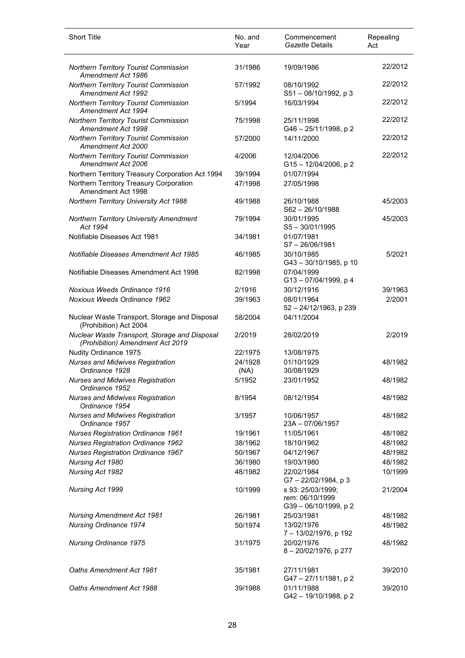| <b>Short Title</b>                                                                | No. and<br>Year | Commencement<br>Gazette Details                            | Repealing<br>Act |
|-----------------------------------------------------------------------------------|-----------------|------------------------------------------------------------|------------------|
| Northern Territory Tourist Commission<br>Amendment Act 1986                       | 31/1986         | 19/09/1986                                                 | 22/2012          |
| Northern Territory Tourist Commission<br>Amendment Act 1992                       | 57/1992         | 08/10/1992<br>S51-08/10/1992, p3                           | 22/2012          |
| Northern Territory Tourist Commission<br>Amendment Act 1994                       | 5/1994          | 16/03/1994                                                 | 22/2012          |
| <b>Northern Territory Tourist Commission</b><br>Amendment Act 1998                | 75/1998         | 25/11/1998<br>G46-25/11/1998, p2                           | 22/2012          |
| <b>Northern Territory Tourist Commission</b><br>Amendment Act 2000                | 57/2000         | 14/11/2000                                                 | 22/2012          |
| Northern Territory Tourist Commission<br>Amendment Act 2006                       | 4/2006          | 12/04/2006<br>G15-12/04/2006, p2                           | 22/2012          |
| Northern Territory Treasury Corporation Act 1994                                  | 39/1994         | 01/07/1994                                                 |                  |
| Northern Territory Treasury Corporation<br>Amendment Act 1998                     | 47/1998         | 27/05/1998                                                 |                  |
| Northern Territory University Act 1988                                            | 49/1988         | 26/10/1988<br>$S62 - 26/10/1988$                           | 45/2003          |
| Northern Territory University Amendment<br>Act 1994                               | 79/1994         | 30/01/1995<br>$S5 - 30/01/1995$                            | 45/2003          |
| Notifiable Diseases Act 1981                                                      | 34/1981         | 01/07/1981<br>$S7 - 26/06/1981$                            |                  |
| Notifiable Diseases Amendment Act 1985                                            | 46/1985         | 30/10/1985<br>G43-30/10/1985, p 10                         | 5/2021           |
| Notifiable Diseases Amendment Act 1998                                            | 82/1998         | 07/04/1999<br>G13-07/04/1999, p4                           |                  |
| Noxious Weeds Ordinance 1916                                                      | 2/1916          | 30/12/1916                                                 | 39/1963          |
| <b>Noxious Weeds Ordinance 1962</b>                                               | 39/1963         | 08/01/1964<br>52 - 24/12/1963, p 239                       | 2/2001           |
| Nuclear Waste Transport, Storage and Disposal<br>(Prohibition) Act 2004           | 58/2004         | 04/11/2004                                                 |                  |
| Nuclear Waste Transport, Storage and Disposal<br>(Prohibition) Amendment Act 2019 | 2/2019          | 28/02/2019                                                 | 2/2019           |
| Nudity Ordinance 1975                                                             | 22/1975         | 13/08/1975                                                 |                  |
| <b>Nurses and Midwives Registration</b><br>Ordinance 1928                         | 24/1928<br>(NA) | 01/10/1929<br>30/08/1929                                   | 48/1982          |
| <b>Nurses and Midwives Registration</b><br>Ordinance 1952                         | 5/1952          | 23/01/1952                                                 | 48/1982          |
| <b>Nurses and Midwives Registration</b><br>Ordinance 1954                         | 8/1954          | 08/12/1954                                                 | 48/1982          |
| <b>Nurses and Midwives Registration</b><br>Ordinance 1957                         | 3/1957          | 10/06/1957<br>23A - 07/06/1957                             | 48/1982          |
| <b>Nurses Registration Ordinance 1961</b>                                         | 19/1961         | 11/05/1961                                                 | 48/1982          |
| <b>Nurses Registration Ordinance 1962</b>                                         | 38/1962         | 18/10/1962                                                 | 48/1982          |
| <b>Nurses Registration Ordinance 1967</b>                                         | 50/1967         | 04/12/1967                                                 | 48/1982          |
| Nursing Act 1980                                                                  | 36/1980         | 19/03/1980                                                 | 48/1982          |
| Nursing Act 1982                                                                  | 48/1982         | 22/02/1984<br>G7-22/02/1984, p 3                           | 10/1999          |
| Nursing Act 1999                                                                  | 10/1999         | s 93: 25/03/1999;<br>rem: 06/10/1999<br>G39-06/10/1999, p2 | 21/2004          |
| <b>Nursing Amendment Act 1981</b>                                                 | 26/1981         | 25/03/1981                                                 | 48/1982          |
| <b>Nursing Ordinance 1974</b>                                                     | 50/1974         | 13/02/1976<br>7-13/02/1976, p 192                          | 48/1982          |
| <b>Nursing Ordinance 1975</b>                                                     | 31/1975         | 20/02/1976<br>8-20/02/1976, p 277                          | 48/1982          |
| Oaths Amendment Act 1981                                                          | 35/1981         | 27/11/1981<br>G47-27/11/1981, p2                           | 39/2010          |
| Oaths Amendment Act 1988                                                          | 39/1988         | 01/11/1988<br>G42-19/10/1988, p2                           | 39/2010          |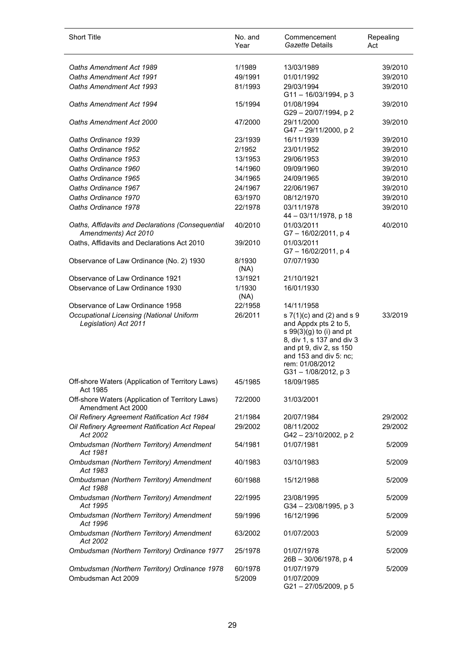| <b>Short Title</b>                                                     | No. and<br>Year | Commencement<br>Gazette Details                                                                                                                                                                            | Repealing<br>Act |
|------------------------------------------------------------------------|-----------------|------------------------------------------------------------------------------------------------------------------------------------------------------------------------------------------------------------|------------------|
| Oaths Amendment Act 1989                                               | 1/1989          |                                                                                                                                                                                                            | 39/2010          |
| Oaths Amendment Act 1991                                               | 49/1991         | 13/03/1989                                                                                                                                                                                                 |                  |
| Oaths Amendment Act 1993                                               |                 | 01/01/1992<br>29/03/1994                                                                                                                                                                                   | 39/2010          |
|                                                                        | 81/1993         | $G11 - 16/03/1994$ , p 3                                                                                                                                                                                   | 39/2010          |
| Oaths Amendment Act 1994                                               | 15/1994         | 01/08/1994<br>G29 - 20/07/1994, p 2                                                                                                                                                                        | 39/2010          |
| Oaths Amendment Act 2000                                               | 47/2000         | 29/11/2000<br>G47 - 29/11/2000, p 2                                                                                                                                                                        | 39/2010          |
| Oaths Ordinance 1939                                                   | 23/1939         | 16/11/1939                                                                                                                                                                                                 | 39/2010          |
| Oaths Ordinance 1952                                                   | 2/1952          | 23/01/1952                                                                                                                                                                                                 | 39/2010          |
| Oaths Ordinance 1953                                                   | 13/1953         | 29/06/1953                                                                                                                                                                                                 | 39/2010          |
| Oaths Ordinance 1960                                                   | 14/1960         | 09/09/1960                                                                                                                                                                                                 | 39/2010          |
| Oaths Ordinance 1965                                                   | 34/1965         | 24/09/1965                                                                                                                                                                                                 | 39/2010          |
| Oaths Ordinance 1967                                                   | 24/1967         | 22/06/1967                                                                                                                                                                                                 | 39/2010          |
| Oaths Ordinance 1970                                                   | 63/1970         | 08/12/1970                                                                                                                                                                                                 | 39/2010          |
| Oaths Ordinance 1978                                                   | 22/1978         | 03/11/1978                                                                                                                                                                                                 | 39/2010          |
| Oaths, Affidavits and Declarations (Consequential                      | 40/2010         | 44 - 03/11/1978, p 18<br>01/03/2011                                                                                                                                                                        | 40/2010          |
| Amendments) Act 2010                                                   |                 | G7-16/02/2011, p 4                                                                                                                                                                                         |                  |
| Oaths, Affidavits and Declarations Act 2010                            | 39/2010         | 01/03/2011<br>G7-16/02/2011, p4                                                                                                                                                                            |                  |
| Observance of Law Ordinance (No. 2) 1930                               | 8/1930<br>(NA)  | 07/07/1930                                                                                                                                                                                                 |                  |
| Observance of Law Ordinance 1921                                       | 13/1921         | 21/10/1921                                                                                                                                                                                                 |                  |
| Observance of Law Ordinance 1930                                       | 1/1930<br>(NA)  | 16/01/1930                                                                                                                                                                                                 |                  |
| Observance of Law Ordinance 1958                                       | 22/1958         | 14/11/1958                                                                                                                                                                                                 |                  |
| Occupational Licensing (National Uniform<br>Legislation) Act 2011      | 26/2011         | s 7(1)(c) and (2) and s 9<br>and Appdx pts 2 to 5,<br>s $99(3)(g)$ to (i) and pt<br>8, div 1, s 137 and div 3<br>and pt 9, div 2, ss 150<br>and 153 and div 5: nc;<br>rem: 01/08/2012<br>G31-1/08/2012, p3 | 33/2019          |
| Off-shore Waters (Application of Territory Laws)<br>Act 1985           | 45/1985         | 18/09/1985                                                                                                                                                                                                 |                  |
| Off-shore Waters (Application of Territory Laws)<br>Amendment Act 2000 | 72/2000         | 31/03/2001                                                                                                                                                                                                 |                  |
| Oil Refinery Agreement Ratification Act 1984                           | 21/1984         | 20/07/1984                                                                                                                                                                                                 | 29/2002          |
| Oil Refinery Agreement Ratification Act Repeal<br>Act 2002             | 29/2002         | 08/11/2002<br>G42-23/10/2002, p2                                                                                                                                                                           | 29/2002          |
| Ombudsman (Northern Territory) Amendment<br>Act 1981                   | 54/1981         | 01/07/1981                                                                                                                                                                                                 | 5/2009           |
| Ombudsman (Northern Territory) Amendment<br>Act 1983                   | 40/1983         | 03/10/1983                                                                                                                                                                                                 | 5/2009           |
| Ombudsman (Northern Territory) Amendment<br>Act 1988                   | 60/1988         | 15/12/1988                                                                                                                                                                                                 | 5/2009           |
| Ombudsman (Northern Territory) Amendment<br>Act 1995                   | 22/1995         | 23/08/1995<br>G34 - 23/08/1995, p 3                                                                                                                                                                        | 5/2009           |
| Ombudsman (Northern Territory) Amendment<br>Act 1996                   | 59/1996         | 16/12/1996                                                                                                                                                                                                 | 5/2009           |
| Ombudsman (Northern Territory) Amendment<br>Act 2002                   | 63/2002         | 01/07/2003                                                                                                                                                                                                 | 5/2009           |
| Ombudsman (Northern Territory) Ordinance 1977                          | 25/1978         | 01/07/1978<br>26B - 30/06/1978, p 4                                                                                                                                                                        | 5/2009           |
| Ombudsman (Northern Territory) Ordinance 1978                          | 60/1978         | 01/07/1979                                                                                                                                                                                                 | 5/2009           |
| Ombudsman Act 2009                                                     | 5/2009          | 01/07/2009<br>G21-27/05/2009, p 5                                                                                                                                                                          |                  |

l,